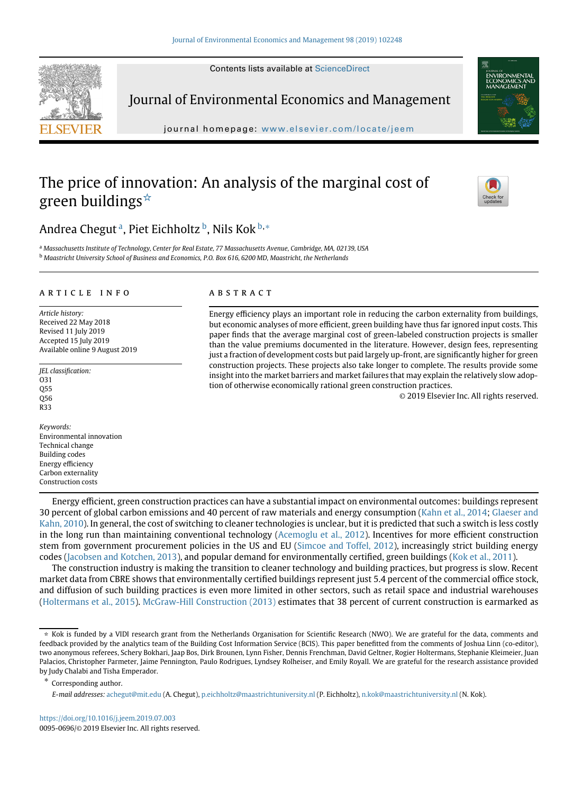Contents lists available at [ScienceDirect](http://www.sciencedirect.com/science/journal/)

<span id="page-0-1"></span>

Journal of Environmental Economics and Management

journal homepage: [www.elsevier.com/locate/jeem](http://www.elsevier.com/locate/jeem)

# The price of innovation: An analysis of the marginal cost of green buildings[☆](#page-0-0)



## Andrea Chegut<sup>a</sup>, Piet Eichholtz<sup>b</sup>, Nils Kok<sup>[b,](#page-0-1)[∗](#page-0-2)</sup>

<sup>a</sup> *Massachusetts Institute of Technology, Center for Real Estate, 77 Massachusetts Avenue, Cambridge, MA, 02139, USA* <sup>b</sup> *Maastricht University School of Business and Economics, P.O. Box 616, 6200 MD, Maastricht, the Netherlands*

## article info

*Article history:* Received 22 May 2018 Revised 11 July 2019 Accepted 15 July 2019 Available online 9 August 2019

*JEL classification:* O31 Q55 Q56 R33

*Keywords:* Environmental innovation Technical change Building codes Energy efficiency Carbon externality Construction costs

## **ABSTRACT**

Energy efficiency plays an important role in reducing the carbon externality from buildings, but economic analyses of more efficient, green building have thus far ignored input costs. This paper finds that the average marginal cost of green-labeled construction projects is smaller than the value premiums documented in the literature. However, design fees, representing just a fraction of development costs but paid largely up-front, are significantly higher for green construction projects. These projects also take longer to complete. The results provide some insight into the market barriers and market failures that may explain the relatively slow adoption of otherwise economically rational green construction practices.

© 2019 Elsevier Inc. All rights reserved.

Energy efficient, green construction practices can have a substantial impact on environmental outcomes: buildings represent 30 percent of global carbon emissions and 40 percent of raw materials and energy consumption [\(Kahn et al., 2014;](#page-17-0) Glaeser and [Kahn, 2010\). In general, the cost of switching to cleaner technologies is unclear, but it is predicted that such a switch is less costly](#page-17-1) in the long run than maintaining conventional technology [\(Acemoglu et al., 2012\)](#page-16-0). Incentives for more efficient construction stem from government procurement policies in the US and EU [\(Simcoe and Toffel, 2012\)](#page-17-2), increasingly strict building energy codes [\(Jacobsen and Kotchen, 2013\)](#page-17-3), and popular demand for environmentally certified, green buildings [\(Kok et al., 2011\)](#page-17-4).

The construction industry is making the transition to cleaner technology and building practices, but progress is slow. Recent market data from CBRE shows that environmentally certified buildings represent just 5.4 percent of the commercial office stock, and diffusion of such building practices is even more limited in other sectors, such as retail space and industrial warehouses [\(Holtermans et al., 2015\)](#page-17-5). [McGraw-Hill Construction \(2013\)](#page-17-6) estimates that 38 percent of current construction is earmarked as

<span id="page-0-2"></span>Corresponding author.

*E-mail addresses:* [achegut@mit.edu](mailto:achegut@mit.edu) (A. Chegut), [p.eichholtz@maastrichtuniversity.nl](mailto:p.eichholtz@maastrichtuniversity.nl) (P. Eichholtz), [n.kok@maastrichtuniversity.nl](mailto:n.kok@maastrichtuniversity.nl) (N. Kok).

<span id="page-0-0"></span><sup>☆</sup> Kok is funded by a VIDI research grant from the Netherlands Organisation for Scientific Research (NWO). We are grateful for the data, comments and feedback provided by the analytics team of the Building Cost Information Service (BCIS). This paper benefitted from the comments of Joshua Linn (co-editor), two anonymous referees, Schery Bokhari, Jaap Bos, Dirk Brounen, Lynn Fisher, Dennis Frenchman, David Geltner, Rogier Holtermans, Stephanie Kleimeier, Juan Palacios, Christopher Parmeter, Jaime Pennington, Paulo Rodrigues, Lyndsey Rolheiser, and Emily Royall. We are grateful for the research assistance provided by Judy Chalabi and Tisha Emperador.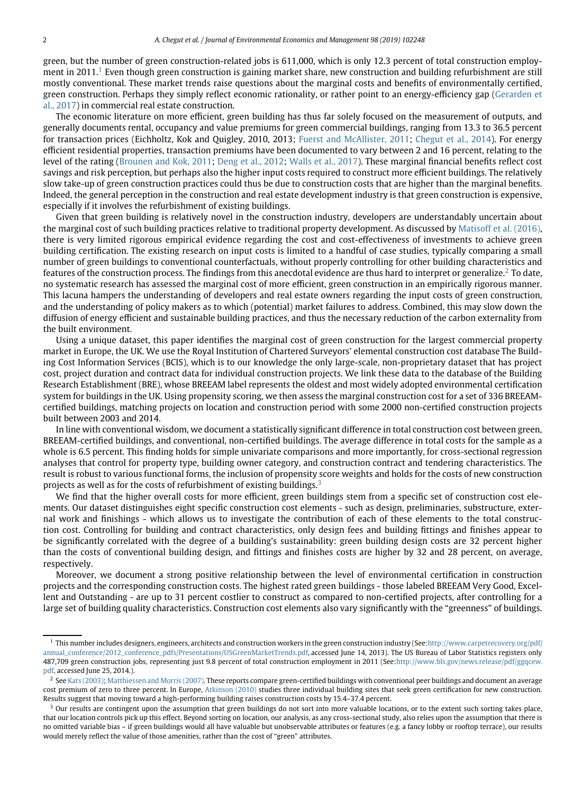green, but the number of green construction-related jobs is 611,000, which is only 12.3 percent of total construction employ-ment in 20[1](#page-1-0)1.<sup>1</sup> Even though green construction is gaining market share, new construction and building refurbishment are still mostly conventional. These market trends raise questions about the marginal costs and benefits of environmentally certified, [green construction. Perhaps they simply reflect economic rationality, or rather point to an energy-efficiency gap \(Gerarden et](#page-17-7) al., 2017) in commercial real estate construction.

The economic literature on more efficient, green building has thus far solely focused on the measurement of outputs, and generally documents rental, occupancy and value premiums for green commercial buildings, ranging from 13.3 to 36.5 percent for transaction prices (Eichholtz, Kok and Quigley, 2010, 2013; [Fuerst and McAllister, 2011;](#page-17-8) [Chegut et al., 2014\)](#page-16-1). For energy efficient residential properties, transaction premiums have been documented to vary between 2 and 16 percent, relating to the level of the rating [\(Brounen and Kok, 2011;](#page-16-2) [Deng et al., 2012;](#page-17-9) [Walls et al., 2017\)](#page-17-10). These marginal financial benefits reflect cost savings and risk perception, but perhaps also the higher input costs required to construct more efficient buildings. The relatively slow take-up of green construction practices could thus be due to construction costs that are higher than the marginal benefits. Indeed, the general perception in the construction and real estate development industry is that green construction is expensive, especially if it involves the refurbishment of existing buildings.

Given that green building is relatively novel in the construction industry, developers are understandably uncertain about the marginal cost of such building practices relative to traditional property development. As discussed by [Matisoff et al. \(2016\),](#page-17-11) there is very limited rigorous empirical evidence regarding the cost and cost-effectiveness of investments to achieve green building certification. The existing research on input costs is limited to a handful of case studies, typically comparing a small number of green buildings to conventional counterfactuals, without properly controlling for other building characteristics and features of the construction process. The findings from this anecdotal evidence are thus hard to interpret or generalize.<sup>[2](#page-1-1)</sup> To date, no systematic research has assessed the marginal cost of more efficient, green construction in an empirically rigorous manner. This lacuna hampers the understanding of developers and real estate owners regarding the input costs of green construction, and the understanding of policy makers as to which (potential) market failures to address. Combined, this may slow down the diffusion of energy efficient and sustainable building practices, and thus the necessary reduction of the carbon externality from the built environment.

Using a unique dataset, this paper identifies the marginal cost of green construction for the largest commercial property market in Europe, the UK. We use the Royal Institution of Chartered Surveyors' elemental construction cost database The Building Cost Information Services (BCIS), which is to our knowledge the only large-scale, non-proprietary dataset that has project cost, project duration and contract data for individual construction projects. We link these data to the database of the Building Research Establishment (BRE), whose BREEAM label represents the oldest and most widely adopted environmental certification system for buildings in the UK. Using propensity scoring, we then assess the marginal construction cost for a set of 336 BREEAMcertified buildings, matching projects on location and construction period with some 2000 non-certified construction projects built between 2003 and 2014.

In line with conventional wisdom, we document a statistically significant difference in total construction cost between green, BREEAM-certified buildings, and conventional, non-certified buildings. The average difference in total costs for the sample as a whole is 6.5 percent. This finding holds for simple univariate comparisons and more importantly, for cross-sectional regression analyses that control for property type, building owner category, and construction contract and tendering characteristics. The result is robust to various functional forms, the inclusion of propensity score weights and holds for the costs of new construction projects as well as for the costs of refurbishment of existing buildings.<sup>[3](#page-1-2)</sup>

We find that the higher overall costs for more efficient, green buildings stem from a specific set of construction cost elements. Our dataset distinguishes eight specific construction cost elements - such as design, preliminaries, substructure, external work and finishings - which allows us to investigate the contribution of each of these elements to the total construction cost. Controlling for building and contract characteristics, only design fees and building fittings and finishes appear to be significantly correlated with the degree of a building's sustainability: green building design costs are 32 percent higher than the costs of conventional building design, and fittings and finishes costs are higher by 32 and 28 percent, on average, respectively.

Moreover, we document a strong positive relationship between the level of environmental certification in construction projects and the corresponding construction costs. The highest rated green buildings - those labeled BREEAM Very Good, Excellent and Outstanding - are up to 31 percent costlier to construct as compared to non-certified projects, after controlling for a large set of building quality characteristics. Construction cost elements also vary significantly with the "greenness" of buildings.

<span id="page-1-0"></span><sup>&</sup>lt;sup>1</sup> This number includes designers, engineers, architects and construction workers in the green construction industry (See[:http://www.carpetrecovery.org/pdf/](http://www.carpetrecovery.org/pdf/annual_conference/2012_conference_pdfs/Presentations/USGreenMarketTrends.pdf) [annual\\_conference/2012\\_conference\\_pdfs/Presentations/USGreenMarketTrends.pdf,](http://www.carpetrecovery.org/pdf/annual_conference/2012_conference_pdfs/Presentations/USGreenMarketTrends.pdf) accessed June 14, 2013). The US Bureau of Labor Statistics registers only 487,709 green construction jobs, representing just 9.8 percent of total construction employment in 2011 (See[:http://www.bls.gov/news.release/pdf/ggqcew.](http://www.bls.gov/news.release/pdf/ggqcew.pdf) [pdf,](http://www.bls.gov/news.release/pdf/ggqcew.pdf) accessed June 25, 2014.).

<span id="page-1-1"></span> $^2$  See [Kats \(2003\);](#page-17-12) [Matthiessen and Morris \(2007\).](#page-17-13) These reports compare green-certified buildings with conventional peer buildings and document an average cost premium of zero to three percent. In Europe, [Atkinson \(2010\)](#page-16-3) studies three individual building sites that seek green certification for new construction. Results suggest that moving toward a high-performing building raises construction costs by 15.4–37.4 percent.

<span id="page-1-2"></span> $3$  Our results are contingent upon the assumption that green buildings do not sort into more valuable locations, or to the extent such sorting takes place, that our location controls pick up this effect. Beyond sorting on location, our analysis, as any cross-sectional study, also relies upon the assumption that there is no omitted variable bias – if green buildings would all have valuable but unobservable attributes or features (e.g. a fancy lobby or rooftop terrace), our results would merely reflect the value of those amenities, rather than the cost of "green" attributes.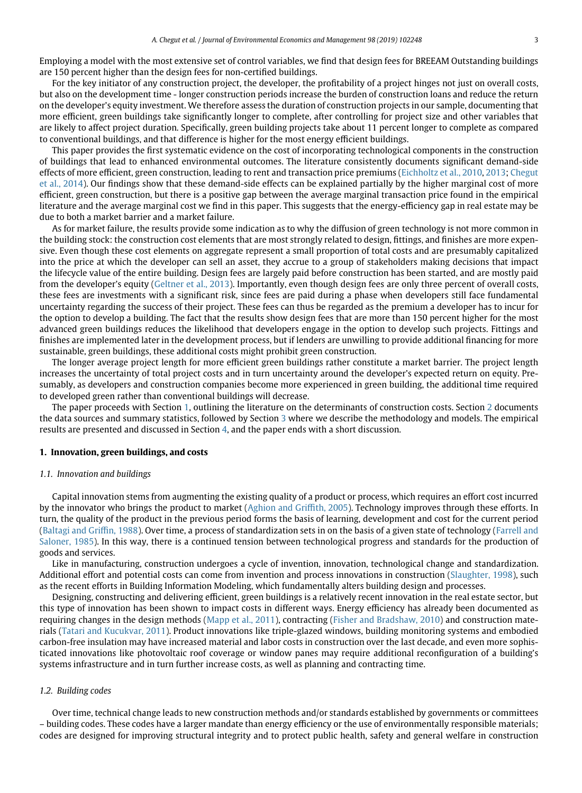Employing a model with the most extensive set of control variables, we find that design fees for BREEAM Outstanding buildings are 150 percent higher than the design fees for non-certified buildings.

For the key initiator of any construction project, the developer, the profitability of a project hinges not just on overall costs, but also on the development time - longer construction periods increase the burden of construction loans and reduce the return on the developer's equity investment. We therefore assess the duration of construction projects in our sample, documenting that more efficient, green buildings take significantly longer to complete, after controlling for project size and other variables that are likely to affect project duration. Specifically, green building projects take about 11 percent longer to complete as compared to conventional buildings, and that difference is higher for the most energy efficient buildings.

This paper provides the first systematic evidence on the cost of incorporating technological components in the construction of buildings that lead to enhanced environmental outcomes. The literature consistently documents significant demand-side effects of more efficient, green construction, leading to rent and transaction price premiums [\(Eichholtz et al., 2010,](#page-17-14) [2013;](#page-17-15) Chegut [et al., 2014\). Our findings show that these demand-side effects can be explained partially by the higher marginal cost of more](#page-16-1) efficient, green construction, but there is a positive gap between the average marginal transaction price found in the empirical literature and the average marginal cost we find in this paper. This suggests that the energy-efficiency gap in real estate may be due to both a market barrier and a market failure.

As for market failure, the results provide some indication as to why the diffusion of green technology is not more common in the building stock: the construction cost elements that are most strongly related to design, fittings, and finishes are more expensive. Even though these cost elements on aggregate represent a small proportion of total costs and are presumably capitalized into the price at which the developer can sell an asset, they accrue to a group of stakeholders making decisions that impact the lifecycle value of the entire building. Design fees are largely paid before construction has been started, and are mostly paid from the developer's equity [\(Geltner et al., 2013\)](#page-17-16). Importantly, even though design fees are only three percent of overall costs, these fees are investments with a significant risk, since fees are paid during a phase when developers still face fundamental uncertainty regarding the success of their project. These fees can thus be regarded as the premium a developer has to incur for the option to develop a building. The fact that the results show design fees that are more than 150 percent higher for the most advanced green buildings reduces the likelihood that developers engage in the option to develop such projects. Fittings and finishes are implemented later in the development process, but if lenders are unwilling to provide additional financing for more sustainable, green buildings, these additional costs might prohibit green construction.

The longer average project length for more efficient green buildings rather constitute a market barrier. The project length increases the uncertainty of total project costs and in turn uncertainty around the developer's expected return on equity. Presumably, as developers and construction companies become more experienced in green building, the additional time required to developed green rather than conventional buildings will decrease.

The paper proceeds with Section [1,](#page-2-0) outlining the literature on the determinants of construction costs. Section [2](#page-3-0) documents the data sources and summary statistics, followed by Section [3](#page-7-0) where we describe the methodology and models. The empirical results are presented and discussed in Section [4,](#page-9-0) and the paper ends with a short discussion.

## <span id="page-2-0"></span>**1. Innovation, green buildings, and costs**

#### *1.1. Innovation and buildings*

Capital innovation stems from augmenting the existing quality of a product or process, which requires an effort cost incurred by the innovator who brings the product to market [\(Aghion and Griffith, 2005\)](#page-16-4). Technology improves through these efforts. In turn, the quality of the product in the previous period forms the basis of learning, development and cost for the current period [\(Baltagi and Griffin, 1988\)](#page-16-5). Over time, a process of standardization sets in on the basis of a given state of technology (Farrell and [Saloner, 1985\). In this way, there is a continued tension between technological progress and standards for the production of](#page-17-17) goods and services.

Like in manufacturing, construction undergoes a cycle of invention, innovation, technological change and standardization. Additional effort and potential costs can come from invention and process innovations in construction [\(Slaughter, 1998\)](#page-17-18), such as the recent efforts in Building Information Modeling, which fundamentally alters building design and processes.

Designing, constructing and delivering efficient, green buildings is a relatively recent innovation in the real estate sector, but this type of innovation has been shown to impact costs in different ways. Energy efficiency has already been documented as requiring changes in the design methods [\(Mapp et al., 2011\)](#page-17-19), contracting [\(Fisher and Bradshaw, 2010\)](#page-17-20) and construction materials [\(Tatari and Kucukvar, 2011\)](#page-17-21). Product innovations like triple-glazed windows, building monitoring systems and embodied carbon-free insulation may have increased material and labor costs in construction over the last decade, and even more sophisticated innovations like photovoltaic roof coverage or window panes may require additional reconfiguration of a building's systems infrastructure and in turn further increase costs, as well as planning and contracting time.

#### *1.2. Building codes*

Over time, technical change leads to new construction methods and/or standards established by governments or committees – building codes. These codes have a larger mandate than energy efficiency or the use of environmentally responsible materials; codes are designed for improving structural integrity and to protect public health, safety and general welfare in construction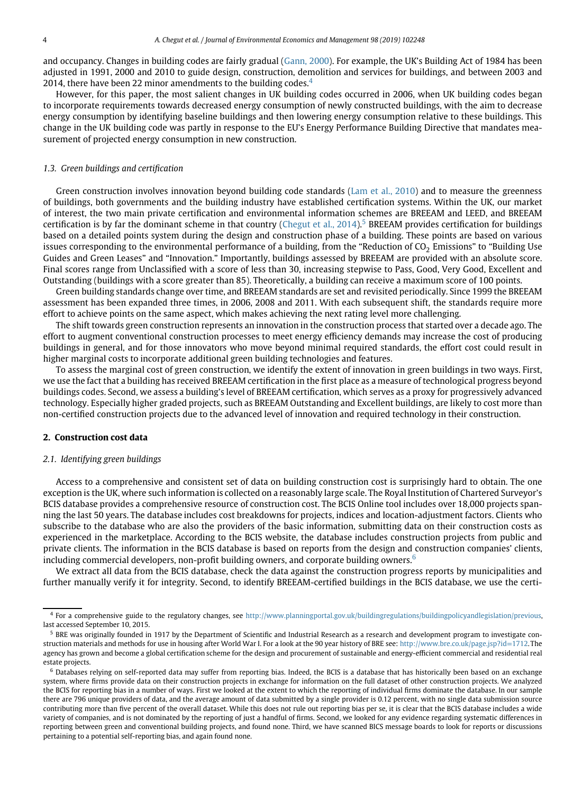and occupancy. Changes in building codes are fairly gradual [\(Gann, 2000\)](#page-17-22). For example, the UK's Building Act of 1984 has been adjusted in 1991, 2000 and 2010 to guide design, construction, demolition and services for buildings, and between 2003 and 201[4](#page-3-1), there have been 22 minor amendments to the building codes. $4$ 

However, for this paper, the most salient changes in UK building codes occurred in 2006, when UK building codes began to incorporate requirements towards decreased energy consumption of newly constructed buildings, with the aim to decrease energy consumption by identifying baseline buildings and then lowering energy consumption relative to these buildings. This change in the UK building code was partly in response to the EU's Energy Performance Building Directive that mandates measurement of projected energy consumption in new construction.

#### *1.3. Green buildings and certification*

Green construction involves innovation beyond building code standards [\(Lam et al., 2010\)](#page-17-23) and to measure the greenness of buildings, both governments and the building industry have established certification systems. Within the UK, our market of interest, the two main private certification and environmental information schemes are BREEAM and LEED, and BREEAM certification is by far the dominant scheme in that country (Chegut et al.,  $2014$ ).<sup>[5](#page-3-2)</sup> BREEAM provides certification for buildings based on a detailed points system during the design and construction phase of a building. These points are based on various issues corresponding to the environmental performance of a building, from the "Reduction of  $CO<sub>2</sub>$  Emissions" to "Building Use Guides and Green Leases" and "Innovation." Importantly, buildings assessed by BREEAM are provided with an absolute score. Final scores range from Unclassified with a score of less than 30, increasing stepwise to Pass, Good, Very Good, Excellent and Outstanding (buildings with a score greater than 85). Theoretically, a building can receive a maximum score of 100 points.

Green building standards change over time, and BREEAM standards are set and revisited periodically. Since 1999 the BREEAM assessment has been expanded three times, in 2006, 2008 and 2011. With each subsequent shift, the standards require more effort to achieve points on the same aspect, which makes achieving the next rating level more challenging.

The shift towards green construction represents an innovation in the construction process that started over a decade ago. The effort to augment conventional construction processes to meet energy efficiency demands may increase the cost of producing buildings in general, and for those innovators who move beyond minimal required standards, the effort cost could result in higher marginal costs to incorporate additional green building technologies and features.

To assess the marginal cost of green construction, we identify the extent of innovation in green buildings in two ways. First, we use the fact that a building has received BREEAM certification in the first place as a measure of technological progress beyond buildings codes. Second, we assess a building's level of BREEAM certification, which serves as a proxy for progressively advanced technology. Especially higher graded projects, such as BREEAM Outstanding and Excellent buildings, are likely to cost more than non-certified construction projects due to the advanced level of innovation and required technology in their construction.

#### <span id="page-3-0"></span>**2. Construction cost data**

#### *2.1. Identifying green buildings*

Access to a comprehensive and consistent set of data on building construction cost is surprisingly hard to obtain. The one exception is the UK, where such information is collected on a reasonably large scale. The Royal Institution of Chartered Surveyor's BCIS database provides a comprehensive resource of construction cost. The BCIS Online tool includes over 18,000 projects spanning the last 50 years. The database includes cost breakdowns for projects, indices and location-adjustment factors. Clients who subscribe to the database who are also the providers of the basic information, submitting data on their construction costs as experienced in the marketplace. According to the BCIS website, the database includes construction projects from public and private clients. The information in the BCIS database is based on reports from the design and construction companies' clients, including commercial developers, non-profit building owners, and corporate building owners. $6$ 

We extract all data from the BCIS database, check the data against the construction progress reports by municipalities and further manually verify it for integrity. Second, to identify BREEAM-certified buildings in the BCIS database, we use the certi-

<span id="page-3-1"></span><sup>4</sup> For a comprehensive guide to the regulatory changes, see [http://www.planningportal.gov.uk/buildingregulations/buildingpolicyandlegislation/previous,](http://www.planningportal.gov.uk/buildingregulations/buildingpolicyandlegislation/previous) last accessed September 10, 2015.

<span id="page-3-2"></span><sup>&</sup>lt;sup>5</sup> BRE was originally founded in 1917 by the Department of Scientific and Industrial Research as a research and development program to investigate construction materials and methods for use in housing after World War I. For a look at the 90 year history of BRE see: [http://www.bre.co.uk/page.jsp?id](http://www.bre.co.uk/page.jsp?id=1712)=1712. The agency has grown and become a global certification scheme for the design and procurement of sustainable and energy-efficient commercial and residential real estate projects.

<span id="page-3-3"></span> $6$  Databases relying on self-reported data may suffer from reporting bias. Indeed, the BCIS is a database that has historically been based on an exchange system, where firms provide data on their construction projects in exchange for information on the full dataset of other construction projects. We analyzed the BCIS for reporting bias in a number of ways. First we looked at the extent to which the reporting of individual firms dominate the database. In our sample there are 796 unique providers of data, and the average amount of data submitted by a single provider is 0.12 percent, with no single data submission source contributing more than five percent of the overall dataset. While this does not rule out reporting bias per se, it is clear that the BCIS database includes a wide variety of companies, and is not dominated by the reporting of just a handful of firms. Second, we looked for any evidence regarding systematic differences in reporting between green and conventional building projects, and found none. Third, we have scanned BICS message boards to look for reports or discussions pertaining to a potential self-reporting bias, and again found none.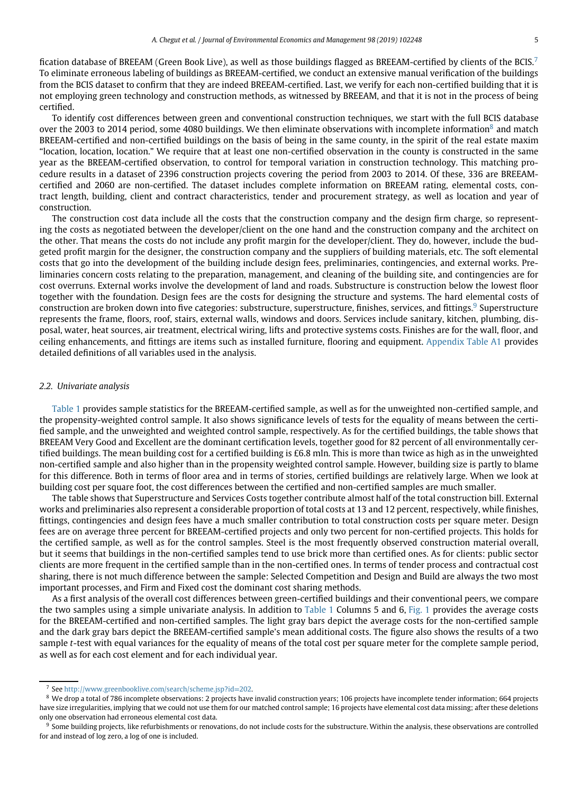fication database of BREEAM (Green Book Live), as well as those buildings flagged as BREEAM-certified by clients of the BCIS.[7](#page-4-0) To eliminate erroneous labeling of buildings as BREEAM-certified, we conduct an extensive manual verification of the buildings from the BCIS dataset to confirm that they are indeed BREEAM-certified. Last, we verify for each non-certified building that it is not employing green technology and construction methods, as witnessed by BREEAM, and that it is not in the process of being certified.

To identify cost differences between green and conventional construction techniques, we start with the full BCIS database over the 2003 to 2014 period, some 4080 buildings. We then eliminate observations with incomplete information<sup>8</sup> and match BREEAM-certified and non-certified buildings on the basis of being in the same county, in the spirit of the real estate maxim "location, location, location." We require that at least one non-certified observation in the county is constructed in the same year as the BREEAM-certified observation, to control for temporal variation in construction technology. This matching procedure results in a dataset of 2396 construction projects covering the period from 2003 to 2014. Of these, 336 are BREEAMcertified and 2060 are non-certified. The dataset includes complete information on BREEAM rating, elemental costs, contract length, building, client and contract characteristics, tender and procurement strategy, as well as location and year of construction.

The construction cost data include all the costs that the construction company and the design firm charge, so representing the costs as negotiated between the developer/client on the one hand and the construction company and the architect on the other. That means the costs do not include any profit margin for the developer/client. They do, however, include the budgeted profit margin for the designer, the construction company and the suppliers of building materials, etc. The soft elemental costs that go into the development of the building include design fees, preliminaries, contingencies, and external works. Preliminaries concern costs relating to the preparation, management, and cleaning of the building site, and contingencies are for cost overruns. External works involve the development of land and roads. Substructure is construction below the lowest floor together with the foundation. Design fees are the costs for designing the structure and systems. The hard elemental costs of construction are broken down into five categories: substructure, superstructure, finishes, services, and fittings.<sup>9</sup> Superstructure represents the frame, floors, roof, stairs, external walls, windows and doors. Services include sanitary, kitchen, plumbing, disposal, water, heat sources, air treatment, electrical wiring, lifts and protective systems costs. Finishes are for the wall, floor, and ceiling enhancements, and fittings are items such as installed furniture, flooring and equipment. [Appendix Table A1](#page-16-6) provides detailed definitions of all variables used in the analysis.

#### *2.2. Univariate analysis*

[Table 1](#page-5-0) provides sample statistics for the BREEAM-certified sample, as well as for the unweighted non-certified sample, and the propensity-weighted control sample. It also shows significance levels of tests for the equality of means between the certified sample, and the unweighted and weighted control sample, respectively. As for the certified buildings, the table shows that BREEAM Very Good and Excellent are the dominant certification levels, together good for 82 percent of all environmentally certified buildings. The mean building cost for a certified building is £6.8 mln. This is more than twice as high as in the unweighted non-certified sample and also higher than in the propensity weighted control sample. However, building size is partly to blame for this difference. Both in terms of floor area and in terms of stories, certified buildings are relatively large. When we look at building cost per square foot, the cost differences between the certified and non-certified samples are much smaller.

The table shows that Superstructure and Services Costs together contribute almost half of the total construction bill. External works and preliminaries also represent a considerable proportion of total costs at 13 and 12 percent, respectively, while finishes, fittings, contingencies and design fees have a much smaller contribution to total construction costs per square meter. Design fees are on average three percent for BREEAM-certified projects and only two percent for non-certified projects. This holds for the certified sample, as well as for the control samples. Steel is the most frequently observed construction material overall, but it seems that buildings in the non-certified samples tend to use brick more than certified ones. As for clients: public sector clients are more frequent in the certified sample than in the non-certified ones. In terms of tender process and contractual cost sharing, there is not much difference between the sample: Selected Competition and Design and Build are always the two most important processes, and Firm and Fixed cost the dominant cost sharing methods.

As a first analysis of the overall cost differences between green-certified buildings and their conventional peers, we compare the two samples using a simple univariate analysis. In addition to [Table 1](#page-5-0) Columns 5 and 6, [Fig. 1](#page-6-0) provides the average costs for the BREEAM-certified and non-certified samples. The light gray bars depict the average costs for the non-certified sample and the dark gray bars depict the BREEAM-certified sample's mean additional costs. The figure also shows the results of a two sample *t*-test with equal variances for the equality of means of the total cost per square meter for the complete sample period, as well as for each cost element and for each individual year.

<span id="page-4-1"></span><span id="page-4-0"></span><sup>7</sup> See [http://www.greenbooklive.com/search/scheme.jsp?id](http://www.greenbooklive.com/search/scheme.jsp?id=202)=202.

<sup>&</sup>lt;sup>8</sup> We drop a total of 786 incomplete observations: 2 projects have invalid construction years; 106 projects have incomplete tender information; 664 projects have size irregularities, implying that we could not use them for our matched control sample; 16 projects have elemental cost data missing; after these deletions only one observation had erroneous elemental cost data.

<span id="page-4-2"></span><sup>&</sup>lt;sup>9</sup> Some building projects, like refurbishments or renovations, do not include costs for the substructure. Within the analysis, these observations are controlled for and instead of log zero, a log of one is included.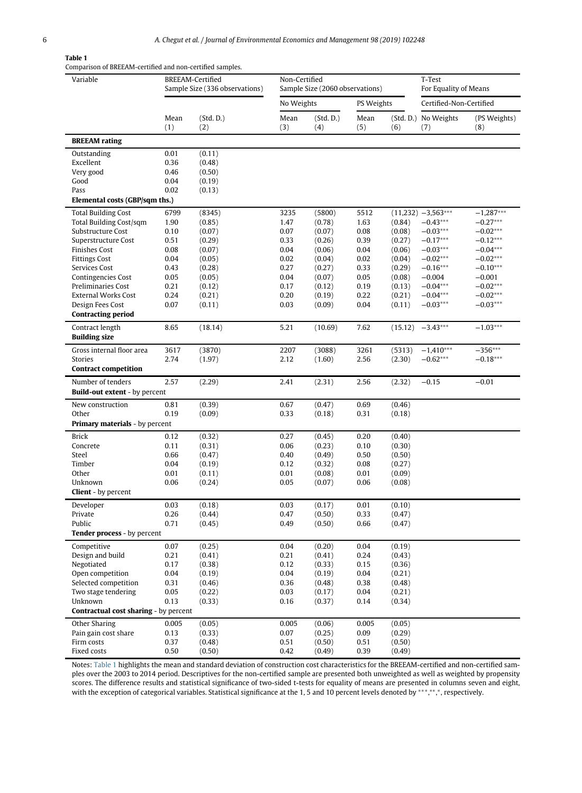## **Table 1**

<span id="page-5-0"></span>

| Variable                                       | BREEAM-Certified<br>Sample Size (336 observations) |                  |              | Non-Certified<br>Sample Size (2060 observations) |              |                  | T-Test<br>For Equality of Means |                          |
|------------------------------------------------|----------------------------------------------------|------------------|--------------|--------------------------------------------------|--------------|------------------|---------------------------------|--------------------------|
|                                                |                                                    |                  | No Weights   |                                                  | PS Weights   |                  | Certified-Non-Certified         |                          |
|                                                | Mean<br>(1)                                        | (Std.D.)<br>(2)  | Mean<br>(3)  | (Std.D.)<br>(4)                                  | Mean<br>(5)  | (6)              | (Std. D.) No Weights<br>(7)     | (PS Weights)<br>(8)      |
| <b>BREEAM</b> rating                           |                                                    |                  |              |                                                  |              |                  |                                 |                          |
| Outstanding                                    | 0.01                                               | (0.11)           |              |                                                  |              |                  |                                 |                          |
| Excellent                                      | 0.36                                               | (0.48)           |              |                                                  |              |                  |                                 |                          |
| Very good                                      | 0.46                                               | (0.50)           |              |                                                  |              |                  |                                 |                          |
| Good                                           | 0.04                                               | (0.19)           |              |                                                  |              |                  |                                 |                          |
| Pass                                           | 0.02                                               | (0.13)           |              |                                                  |              |                  |                                 |                          |
| Elemental costs (GBP/sqm ths.)                 |                                                    |                  |              |                                                  |              |                  |                                 |                          |
| <b>Total Building Cost</b>                     | 6799                                               | (8345)           | 3235         | (5800)                                           | 5512         |                  | $(11,232) -3,563***$            | $-1,287***$              |
| Total Building Cost/sqm                        | 1.90                                               | (0.85)           | 1.47         | (0.78)                                           | 1.63         | (0.84)           | $-0.43***$                      | $-0.27***$               |
| Substructure Cost                              | 0.10                                               | (0.07)           | 0.07         | (0.07)                                           | 0.08         | (0.08)           | $-0.03***$                      | $-0.02***$               |
| Superstructure Cost                            | 0.51                                               | (0.29)           | 0.33         | (0.26)                                           | 0.39         | (0.27)           | $-0.17***$                      | $-0.12***$               |
| <b>Finishes Cost</b>                           | 0.08                                               | (0.07)           | 0.04         | (0.06)                                           | 0.04         | (0.06)           | $-0.03***$                      | $-0.04***$               |
| <b>Fittings Cost</b>                           | 0.04                                               | (0.05)           | 0.02         | (0.04)                                           | 0.02         | (0.04)           | $-0.02***$                      | $-0.02***$               |
| Services Cost                                  | 0.43                                               | (0.28)           | 0.27         | (0.27)                                           | 0.33         | (0.29)           | $-0.16***$                      | $-0.10***$               |
| Contingencies Cost                             | 0.05                                               | (0.05)           | 0.04         | (0.07)                                           | 0.05         | (0.08)           | $-0.004$                        | $-0.001$                 |
| <b>Preliminaries Cost</b>                      | 0.21                                               | (0.12)           | 0.17         | (0.12)                                           | 0.19         | (0.13)           | $-0.04***$                      | $-0.02***$               |
| <b>External Works Cost</b><br>Design Fees Cost | 0.24<br>0.07                                       | (0.21)<br>(0.11) | 0.20<br>0.03 | (0.19)<br>(0.09)                                 | 0.22<br>0.04 | (0.21)<br>(0.11) | $-0.04***$<br>$-0.03***$        | $-0.02***$<br>$-0.03***$ |
| <b>Contracting period</b>                      |                                                    |                  |              |                                                  |              |                  |                                 |                          |
| Contract length                                | 8.65                                               | (18.14)          | 5.21         | (10.69)                                          | 7.62         | (15.12)          | $-3.43***$                      | $-1.03***$               |
| <b>Building size</b>                           |                                                    |                  |              |                                                  |              |                  |                                 |                          |
| Gross internal floor area                      | 3617                                               | (3870)           | 2207         | (3088)                                           | 3261         | (5313)           | $-1,410***$                     | $-356***$                |
| <b>Stories</b>                                 | 2.74                                               | (1.97)           | 2.12         | (1.60)                                           | 2.56         | (2.30)           | $-0.62***$                      | $-0.18***$               |
| <b>Contract competition</b>                    |                                                    |                  |              |                                                  |              |                  |                                 |                          |
| Number of tenders                              | 2.57                                               | (2.29)           | 2.41         | (2.31)                                           | 2.56         | (2.32)           | $-0.15$                         | $-0.01$                  |
| <b>Build-out extent - by percent</b>           |                                                    |                  |              |                                                  |              |                  |                                 |                          |
| New construction                               | 0.81                                               | (0.39)           | 0.67         | (0.47)                                           | 0.69         | (0.46)           |                                 |                          |
| Other                                          | 0.19                                               | (0.09)           | 0.33         | (0.18)                                           | 0.31         | (0.18)           |                                 |                          |
| Primary materials - by percent                 |                                                    |                  |              |                                                  |              |                  |                                 |                          |
| <b>Brick</b>                                   | 0.12                                               | (0.32)           | 0.27         | (0.45)                                           | 0.20         | (0.40)           |                                 |                          |
| Concrete                                       | 0.11                                               | (0.31)           | 0.06         | (0.23)                                           | 0.10         | (0.30)           |                                 |                          |
| Steel                                          | 0.66                                               | (0.47)           | 0.40         | (0.49)                                           | 0.50         | (0.50)           |                                 |                          |
| Timber                                         | 0.04                                               | (0.19)           | 0.12         | (0.32)                                           | 0.08         | (0.27)           |                                 |                          |
| Other                                          | 0.01                                               | (0.11)           | 0.01         | (0.08)                                           | 0.01         | (0.09)           |                                 |                          |
| Unknown                                        | 0.06                                               | (0.24)           | 0.05         | (0.07)                                           | 0.06         | (0.08)           |                                 |                          |
| <b>Client</b> - by percent                     |                                                    |                  |              |                                                  |              |                  |                                 |                          |
| Developer                                      | 0.03                                               | (0.18)           | 0.03         | (0.17)                                           | 0.01         | (0.10)           |                                 |                          |
| Private                                        | 0.26                                               | (0.44)           | 0.47         | (0.50)                                           | 0.33         | (0.47)           |                                 |                          |
| Public<br>Tender process - by percent          | 0.71                                               | (0.45)           | 0.49         | (0.50)                                           | 0.66         | (0.47)           |                                 |                          |
|                                                |                                                    |                  |              |                                                  |              |                  |                                 |                          |
| Competitive                                    | 0.07                                               | (0.25)           | 0.04         | (0.20)                                           | 0.04         | (0.19)           |                                 |                          |
| Design and build                               | 0.21                                               | (0.41)           | 0.21         | (0.41)                                           | 0.24         | (0.43)           |                                 |                          |
| Negotiated<br>Open competition                 | 0.17<br>0.04                                       | (0.38)           | 0.12<br>0.04 | (0.33)                                           | 0.15<br>0.04 | (0.36)           |                                 |                          |
| Selected competition                           |                                                    | (0.19)           |              | (0.19)                                           |              | (0.21)           |                                 |                          |
| Two stage tendering                            | 0.31<br>0.05                                       | (0.46)<br>(0.22) | 0.36<br>0.03 | (0.48)<br>(0.17)                                 | 0.38<br>0.04 | (0.48)<br>(0.21) |                                 |                          |
| Unknown                                        | 0.13                                               | (0.33)           | 0.16         | (0.37)                                           | 0.14         | (0.34)           |                                 |                          |
| <b>Contractual cost sharing - by percent</b>   |                                                    |                  |              |                                                  |              |                  |                                 |                          |
| Other Sharing                                  | 0.005                                              | (0.05)           | 0.005        | (0.06)                                           | 0.005        | (0.05)           |                                 |                          |
| Pain gain cost share                           | 0.13                                               | (0.33)           | 0.07         | (0.25)                                           | 0.09         | (0.29)           |                                 |                          |
| Firm costs                                     | 0.37                                               | (0.48)           | 0.51         | (0.50)                                           | 0.51         | (0.50)           |                                 |                          |
| Fixed costs                                    | 0.50                                               | (0.50)           | 0.42         | (0.49)                                           | 0.39         | (0.49)           |                                 |                          |

Notes: [Table 1](#page-5-0) highlights the mean and standard deviation of construction cost characteristics for the BREEAM-certified and non-certified samples over the 2003 to 2014 period. Descriptives for the non-certified sample are presented both unweighted as well as weighted by propensity scores. The difference results and statistical significance of two-sided t-tests for equality of means are presented in columns seven and eight, with the exception of categorical variables. Statistical significance at the 1, 5 and 10 percent levels denoted by \*\*\*,\*\*,\*, respectively.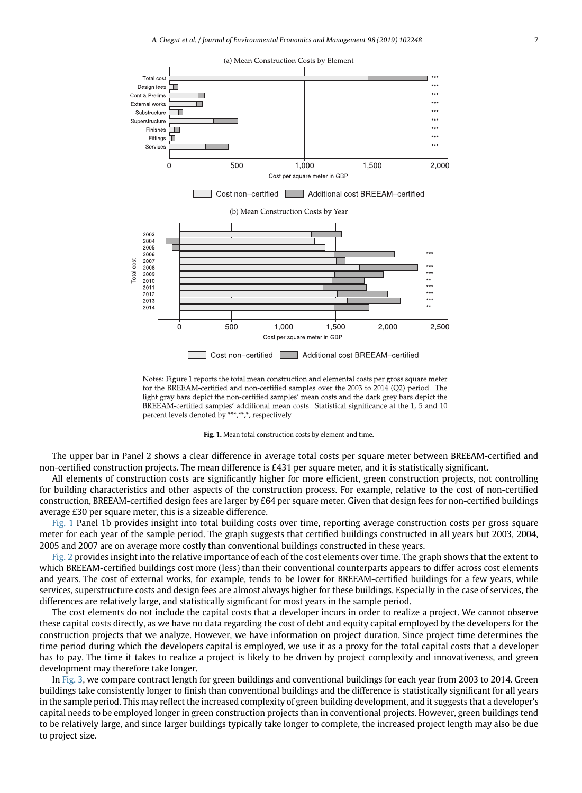

Notes: Figure 1 reports the total mean construction and elemental costs per gross square meter for the BREEAM-certified and non-certified samples over the 2003 to 2014 (Q2) period. The light gray bars depict the non-certified samples' mean costs and the dark grey bars depict the BREEAM-certified samples' additional mean costs. Statistical significance at the 1, 5 and 10 percent levels denoted by \*\*\*,\*\*,\*,\*, respectively.

<span id="page-6-0"></span>**Fig. 1.** Mean total construction costs by element and time.

The upper bar in Panel 2 shows a clear difference in average total costs per square meter between BREEAM-certified and non-certified construction projects. The mean difference is £431 per square meter, and it is statistically significant.

All elements of construction costs are significantly higher for more efficient, green construction projects, not controlling for building characteristics and other aspects of the construction process. For example, relative to the cost of non-certified construction, BREEAM-certified design fees are larger by £64 per square meter. Given that design fees for non-certified buildings average £30 per square meter, this is a sizeable difference.

[Fig. 1](#page-6-0) Panel 1b provides insight into total building costs over time, reporting average construction costs per gross square meter for each year of the sample period. The graph suggests that certified buildings constructed in all years but 2003, 2004, 2005 and 2007 are on average more costly than conventional buildings constructed in these years.

[Fig. 2](#page-7-1) provides insight into the relative importance of each of the cost elements over time. The graph shows that the extent to which BREEAM-certified buildings cost more (less) than their conventional counterparts appears to differ across cost elements and years. The cost of external works, for example, tends to be lower for BREEAM-certified buildings for a few years, while services, superstructure costs and design fees are almost always higher for these buildings. Especially in the case of services, the differences are relatively large, and statistically significant for most years in the sample period.

The cost elements do not include the capital costs that a developer incurs in order to realize a project. We cannot observe these capital costs directly, as we have no data regarding the cost of debt and equity capital employed by the developers for the construction projects that we analyze. However, we have information on project duration. Since project time determines the time period during which the developers capital is employed, we use it as a proxy for the total capital costs that a developer has to pay. The time it takes to realize a project is likely to be driven by project complexity and innovativeness, and green development may therefore take longer.

In [Fig. 3,](#page-8-0) we compare contract length for green buildings and conventional buildings for each year from 2003 to 2014. Green buildings take consistently longer to finish than conventional buildings and the difference is statistically significant for all years in the sample period. This may reflect the increased complexity of green building development, and it suggests that a developer's capital needs to be employed longer in green construction projects than in conventional projects. However, green buildings tend to be relatively large, and since larger buildings typically take longer to complete, the increased project length may also be due to project size.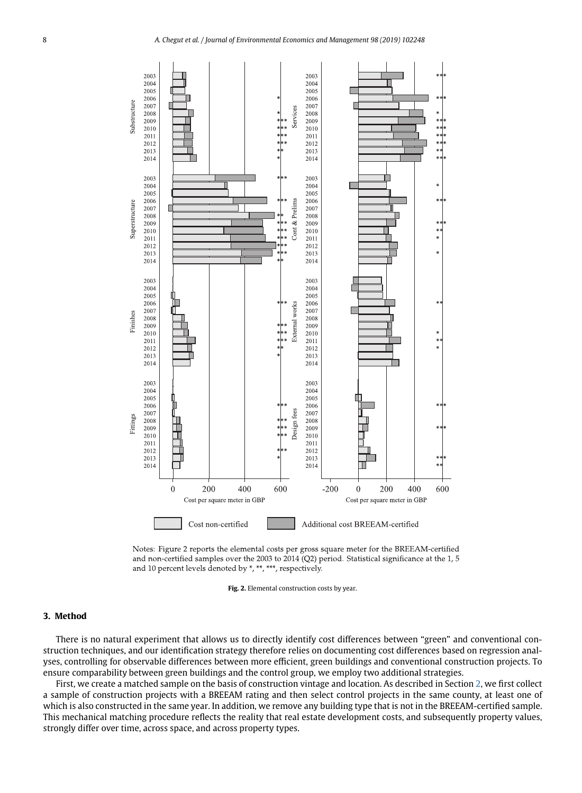

Notes: Figure 2 reports the elemental costs per gross square meter for the BREEAM-certified and non-certified samples over the 2003 to  $2014$  (Q2) period. Statistical significance at the 1, 5 and 10 percent levels denoted by \*, \*\*, \*\*\*, respectively.

<span id="page-7-1"></span>**Fig. 2.** Elemental construction costs by year.

## <span id="page-7-0"></span>**3. Method**

There is no natural experiment that allows us to directly identify cost differences between "green" and conventional construction techniques, and our identification strategy therefore relies on documenting cost differences based on regression analyses, controlling for observable differences between more efficient, green buildings and conventional construction projects. To ensure comparability between green buildings and the control group, we employ two additional strategies.

First, we create a matched sample on the basis of construction vintage and location. As described in Section [2,](#page-3-0) we first collect a sample of construction projects with a BREEAM rating and then select control projects in the same county, at least one of which is also constructed in the same year. In addition, we remove any building type that is not in the BREEAM-certified sample. This mechanical matching procedure reflects the reality that real estate development costs, and subsequently property values, strongly differ over time, across space, and across property types.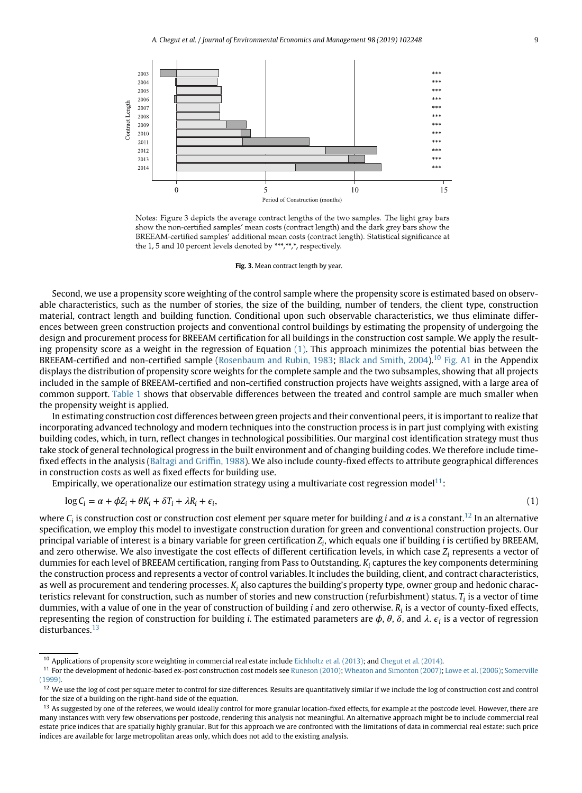

Notes: Figure 3 depicts the average contract lengths of the two samples. The light gray bars show the non-certified samples' mean costs (contract length) and the dark grey bars show the BREEAM-certified samples' additional mean costs (contract length). Statistical significance at the 1, 5 and 10 percent levels denoted by \*\*\*,\*\*,\*,\*, respectively.

<span id="page-8-1"></span><span id="page-8-0"></span>**Fig. 3.** Mean contract length by year.

Second, we use a propensity score weighting of the control sample where the propensity score is estimated based on observable characteristics, such as the number of stories, the size of the building, number of tenders, the client type, construction material, contract length and building function. Conditional upon such observable characteristics, we thus eliminate differences between green construction projects and conventional control buildings by estimating the propensity of undergoing the design and procurement process for BREEAM certification for all buildings in the construction cost sample. We apply the resulting propensity score as a weight in the regression of Equation [\(1\).](#page-8-1) This approach minimizes the potential bias between the BREEAM-certified and non-certified sample [\(Rosenbaum and Rubin, 1983;](#page-17-24) [Black and Smith, 2004\)](#page-16-7).[10](#page-8-2) [Fig. A1](#page-15-0) in the Appendix displays the distribution of propensity score weights for the complete sample and the two subsamples, showing that all projects included in the sample of BREEAM-certified and non-certified construction projects have weights assigned, with a large area of common support. [Table 1](#page-5-0) shows that observable differences between the treated and control sample are much smaller when the propensity weight is applied.

In estimating construction cost differences between green projects and their conventional peers, it is important to realize that incorporating advanced technology and modern techniques into the construction process is in part just complying with existing building codes, which, in turn, reflect changes in technological possibilities. Our marginal cost identification strategy must thus take stock of general technological progress in the built environment and of changing building codes. We therefore include timefixed effects in the analysis [\(Baltagi and Griffin, 1988\)](#page-16-5). We also include county-fixed effects to attribute geographical differences in construction costs as well as fixed effects for building use.

Empirically, we operationalize our estimation strategy using a multivariate cost regression model<sup>11</sup>:

$$
\log C_i = \alpha + \phi Z_i + \theta K_i + \delta T_i + \lambda R_i + \epsilon_i,\tag{1}
$$

where  $C_i$  is construction cost or construction cost element per square meter for building *i* and  $\alpha$  is a constant.<sup>[12](#page-8-4)</sup> In an alternative specification, we employ this model to investigate construction duration for green and conventional construction projects. Our principal variable of interest is a binary variable for green certification *Zi*, which equals one if building *i* is certified by BREEAM, and zero otherwise. We also investigate the cost effects of different certification levels, in which case *Zi* represents a vector of dummies for each level of BREEAM certification, ranging from Pass to Outstanding. *Ki* captures the key components determining the construction process and represents a vector of control variables. It includes the building, client, and contract characteristics, as well as procurement and tendering processes. *Ki* also captures the building's property type, owner group and hedonic characteristics relevant for construction, such as number of stories and new construction (refurbishment) status. *Ti* is a vector of time dummies, with a value of one in the year of construction of building *i* and zero otherwise. *Ri* is a vector of county-fixed effects, representing the region of construction for building *i*. The estimated parameters are  $\phi$ ,  $\theta$ ,  $\delta$ , and  $\lambda$ ,  $\epsilon$ , is a vector of regression disturbances.<sup>[13](#page-8-5)</sup>

<span id="page-8-3"></span><span id="page-8-2"></span><sup>10</sup> Applications of propensity score weighting in commercial real estate include [Eichholtz et al. \(2013\);](#page-17-15) and [Chegut et al. \(2014\).](#page-16-1)

<sup>&</sup>lt;sup>11</sup> [For the development of hedonic-based ex-post construction cost models see](#page-17-28) [Runeson \(2010\);](#page-17-25) [Wheaton and Simonton \(2007\);](#page-17-26) [Lowe et al. \(2006\);](#page-17-27) Somerville (1999).

<span id="page-8-4"></span><sup>&</sup>lt;sup>12</sup> We use the log of cost per square meter to control for size differences. Results are quantitatively similar if we include the log of construction cost and control for the size of a building on the right-hand side of the equation.

<span id="page-8-5"></span><sup>&</sup>lt;sup>13</sup> As suggested by one of the referees, we would ideally control for more granular location-fixed effects, for example at the postcode level. However, there are many instances with very few observations per postcode, rendering this analysis not meaningful. An alternative approach might be to include commercial real estate price indices that are spatially highly granular. But for this approach we are confronted with the limitations of data in commercial real estate: such price indices are available for large metropolitan areas only, which does not add to the existing analysis.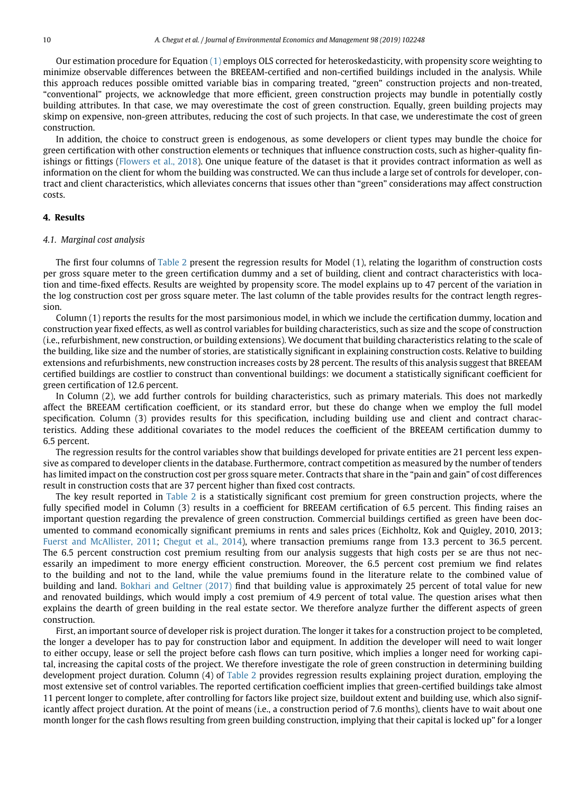Our estimation procedure for Equation [\(1\)](#page-8-1) employs OLS corrected for heteroskedasticity, with propensity score weighting to minimize observable differences between the BREEAM-certified and non-certified buildings included in the analysis. While this approach reduces possible omitted variable bias in comparing treated, "green" construction projects and non-treated, "conventional" projects, we acknowledge that more efficient, green construction projects may bundle in potentially costly building attributes. In that case, we may overestimate the cost of green construction. Equally, green building projects may skimp on expensive, non-green attributes, reducing the cost of such projects. In that case, we underestimate the cost of green construction.

In addition, the choice to construct green is endogenous, as some developers or client types may bundle the choice for green certification with other construction elements or techniques that influence construction costs, such as higher-quality finishings or fittings [\(Flowers et al., 2018\)](#page-17-29). One unique feature of the dataset is that it provides contract information as well as information on the client for whom the building was constructed. We can thus include a large set of controls for developer, contract and client characteristics, which alleviates concerns that issues other than "green" considerations may affect construction costs.

## <span id="page-9-0"></span>**4. Results**

### *4.1. Marginal cost analysis*

The first four columns of [Table 2](#page-10-0) present the regression results for Model (1), relating the logarithm of construction costs per gross square meter to the green certification dummy and a set of building, client and contract characteristics with location and time-fixed effects. Results are weighted by propensity score. The model explains up to 47 percent of the variation in the log construction cost per gross square meter. The last column of the table provides results for the contract length regression.

Column (1) reports the results for the most parsimonious model, in which we include the certification dummy, location and construction year fixed effects, as well as control variables for building characteristics, such as size and the scope of construction (i.e., refurbishment, new construction, or building extensions). We document that building characteristics relating to the scale of the building, like size and the number of stories, are statistically significant in explaining construction costs. Relative to building extensions and refurbishments, new construction increases costs by 28 percent. The results of this analysis suggest that BREEAM certified buildings are costlier to construct than conventional buildings: we document a statistically significant coefficient for green certification of 12.6 percent.

In Column (2), we add further controls for building characteristics, such as primary materials. This does not markedly affect the BREEAM certification coefficient, or its standard error, but these do change when we employ the full model specification. Column (3) provides results for this specification, including building use and client and contract characteristics. Adding these additional covariates to the model reduces the coefficient of the BREEAM certification dummy to 6.5 percent.

The regression results for the control variables show that buildings developed for private entities are 21 percent less expensive as compared to developer clients in the database. Furthermore, contract competition as measured by the number of tenders has limited impact on the construction cost per gross square meter. Contracts that share in the "pain and gain" of cost differences result in construction costs that are 37 percent higher than fixed cost contracts.

The key result reported in [Table 2](#page-10-0) is a statistically significant cost premium for green construction projects, where the fully specified model in Column (3) results in a coefficient for BREEAM certification of 6.5 percent. This finding raises an important question regarding the prevalence of green construction. Commercial buildings certified as green have been documented to command economically significant premiums in rents and sales prices (Eichholtz, Kok and Quigley, 2010, 2013; [Fuerst and McAllister, 2011;](#page-17-8) [Chegut et al., 2014\)](#page-16-1), where transaction premiums range from 13.3 percent to 36.5 percent. The 6.5 percent construction cost premium resulting from our analysis suggests that high costs per se are thus not necessarily an impediment to more energy efficient construction. Moreover, the 6.5 percent cost premium we find relates to the building and not to the land, while the value premiums found in the literature relate to the combined value of building and land. [Bokhari and Geltner \(2017\)](#page-16-8) find that building value is approximately 25 percent of total value for new and renovated buildings, which would imply a cost premium of 4.9 percent of total value. The question arises what then explains the dearth of green building in the real estate sector. We therefore analyze further the different aspects of green construction.

First, an important source of developer risk is project duration. The longer it takes for a construction project to be completed, the longer a developer has to pay for construction labor and equipment. In addition the developer will need to wait longer to either occupy, lease or sell the project before cash flows can turn positive, which implies a longer need for working capital, increasing the capital costs of the project. We therefore investigate the role of green construction in determining building development project duration. Column (4) of [Table 2](#page-10-0) provides regression results explaining project duration, employing the most extensive set of control variables. The reported certification coefficient implies that green-certified buildings take almost 11 percent longer to complete, after controlling for factors like project size, buildout extent and building use, which also significantly affect project duration. At the point of means (i.e., a construction period of 7.6 months), clients have to wait about one month longer for the cash flows resulting from green building construction, implying that their capital is locked up" for a longer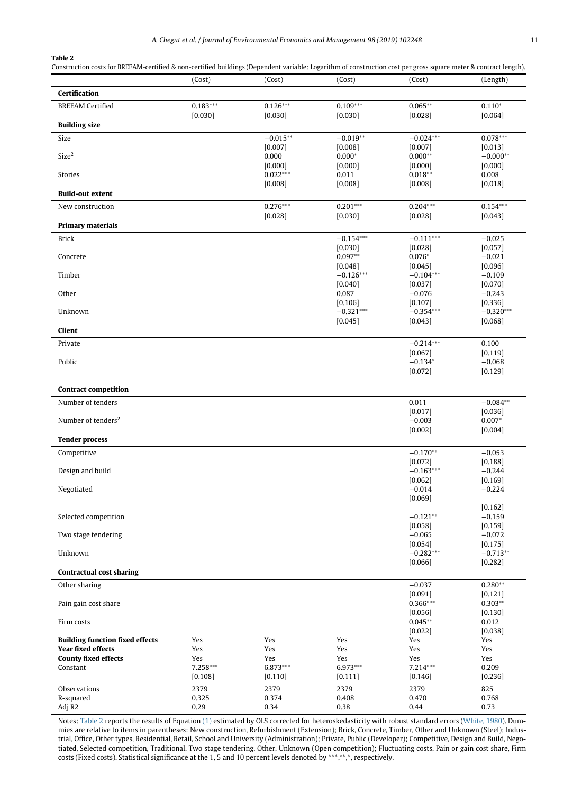**Table 2**

Construction costs for BREEAM-certified & non-certified buildings (Dependent variable: Logarithm of construction cost per gross square meter & contract length).

<span id="page-10-0"></span>

|                                                          | (Cost)        | (Cost)                | (Cost)               | (Cost)                 | (Length)              |
|----------------------------------------------------------|---------------|-----------------------|----------------------|------------------------|-----------------------|
| Certification                                            |               |                       |                      |                        |                       |
| <b>BREEAM Certified</b>                                  | $0.183***$    | $0.126***$            | $0.109***$           | $0.065**$              | $0.110*$              |
|                                                          | [0.030]       | [0.030]               | [0.030]              | [0.028]                | [0.064]               |
| <b>Building size</b>                                     |               |                       |                      |                        |                       |
| Size                                                     |               | $-0.015**$            | $-0.019**$           | $-0.024***$            | $0.078***$            |
| Size <sup>2</sup>                                        |               | [0.007]<br>0.000      | [0.008]<br>$0.000*$  | [0.007]<br>$0.000**$   | [0.013]<br>$-0.000**$ |
|                                                          |               | [0.000]               | [0.000]              | [0.000]                | [0.000]               |
| Stories                                                  |               | $0.022***$<br>[0.008] | 0.011<br>[0.008]     | $0.018**$<br>[0.008]   | 0.008<br>[0.018]      |
| <b>Build-out extent</b>                                  |               |                       |                      |                        |                       |
| New construction                                         |               | $0.276***$            | $0.201***$           | $0.204***$             | $0.154***$            |
|                                                          |               | [0.028]               | [0.030]              | [0.028]                | [0.043]               |
| <b>Primary materials</b>                                 |               |                       |                      |                        |                       |
| <b>Brick</b>                                             |               |                       | $-0.154***$          | $-0.111***$            | $-0.025$              |
| Concrete                                                 |               |                       | [0.030]<br>$0.097**$ | [0.028]<br>$0.076*$    | [0.057]<br>$-0.021$   |
|                                                          |               |                       | [0.048]              | [0.045]                | [0.096]               |
| Timber                                                   |               |                       | $-0.126***$          | $-0.104***$            | $-0.109$              |
| Other                                                    |               |                       | [0.040]<br>0.087     | [0.037]<br>$-0.076$    | [0.070]<br>$-0.243$   |
|                                                          |               |                       | [0.106]              | [0.107]                | [0.336]               |
| Unknown                                                  |               |                       | $-0.321***$          | $-0.354***$<br>[0.043] | $-0.320***$           |
| Client                                                   |               |                       | [0.045]              |                        | [0.068]               |
| Private                                                  |               |                       |                      | $-0.214***$            | 0.100                 |
|                                                          |               |                       |                      | $[0.067]$              | [0.119]               |
| Public                                                   |               |                       |                      | $-0.134*$              | $-0.068$              |
|                                                          |               |                       |                      | [0.072]                | [0.129]               |
| <b>Contract competition</b>                              |               |                       |                      |                        |                       |
| Number of tenders                                        |               |                       |                      | 0.011                  | $-0.084**$            |
| Number of tenders <sup>2</sup>                           |               |                       |                      | [0.017]<br>$-0.003$    | [0.036]<br>$0.007*$   |
|                                                          |               |                       |                      | [0.002]                | [0.004]               |
| <b>Tender process</b>                                    |               |                       |                      |                        |                       |
| Competitive                                              |               |                       |                      | $-0.170**$             | $-0.053$              |
| Design and build                                         |               |                       |                      | [0.072]<br>$-0.163***$ | [0.188]<br>$-0.244$   |
|                                                          |               |                       |                      | [0.062]                | [0.169]               |
| Negotiated                                               |               |                       |                      | $-0.014$               | $-0.224$              |
|                                                          |               |                       |                      | [0.069]                | [0.162]               |
| Selected competition                                     |               |                       |                      | $-0.121**$             | $-0.159$              |
|                                                          |               |                       |                      | [0.058]                | [0.159]               |
| Two stage tendering                                      |               |                       |                      | $-0.065$<br>[0.054]    | $-0.072$<br>[0.175]   |
| Unknown                                                  |               |                       |                      | $-0.282***$            | $-0.713**$            |
| <b>Contractual cost sharing</b>                          |               |                       |                      | [0.066]                | [0.282]               |
| Other sharing                                            |               |                       |                      | $-0.037$               | $0.280**$             |
|                                                          |               |                       |                      | [0.091]                | [0.121]               |
| Pain gain cost share                                     |               |                       |                      | 0.366***               | $0.303**$             |
| Firm costs                                               |               |                       |                      | $[0.056]$<br>$0.045**$ | [0.130]<br>0.012      |
|                                                          |               |                       |                      | [0.022]                | [0.038]               |
| <b>Building function fixed effects</b>                   | Yes           | Yes                   | Yes                  | Yes                    | Yes                   |
| <b>Year fixed effects</b><br><b>County fixed effects</b> | Yes<br>Yes    | Yes<br>Yes            | Yes<br>Yes           | Yes<br>Yes             | Yes<br>Yes            |
| Constant                                                 | 7.258***      | 6.873***              | 6.973***             | 7.214***               | 0.209                 |
|                                                          | [0.108]       | [0.110]               | [0.111]              | [0.146]                | $[0.236]$             |
| Observations                                             | 2379          | 2379                  | 2379                 | 2379                   | 825                   |
| R-squared<br>Adj R2                                      | 0.325<br>0.29 | 0.374<br>0.34         | 0.408<br>0.38        | 0.470<br>0.44          | 0.768<br>0.73         |

Notes: [Table 2](#page-10-0) reports the results of Equation [\(1\)](#page-8-1) estimated by OLS corrected for heteroskedasticity with robust standard errors [\(White, 1980\)](#page-17-30). Dummies are relative to items in parentheses: New construction, Refurbishment (Extension); Brick, Concrete, Timber, Other and Unknown (Steel); Industrial, Office, Other types, Residential, Retail, School and University (Administration); Private, Public (Developer); Competitive, Design and Build, Negotiated, Selected competition, Traditional, Two stage tendering, Other, Unknown (Open competition); Fluctuating costs, Pain or gain cost share, Firm costs (Fixed costs). Statistical significance at the 1, 5 and 10 percent levels denoted by ∗∗∗, ∗∗, <sup>∗</sup>, respectively.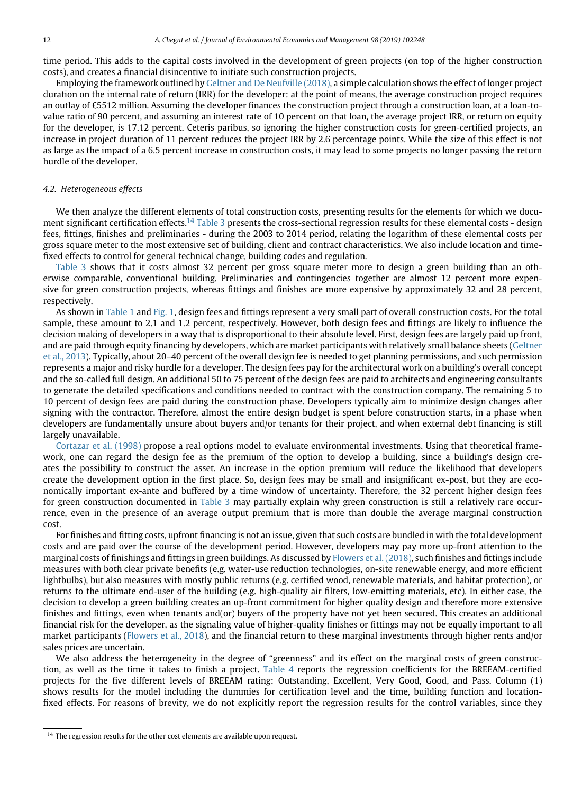time period. This adds to the capital costs involved in the development of green projects (on top of the higher construction costs), and creates a financial disincentive to initiate such construction projects.

Employing the framework outlined by [Geltner and De Neufville \(2018\),](#page-17-31) a simple calculation shows the effect of longer project duration on the internal rate of return (IRR) for the developer: at the point of means, the average construction project requires an outlay of £5512 million. Assuming the developer finances the construction project through a construction loan, at a loan-tovalue ratio of 90 percent, and assuming an interest rate of 10 percent on that loan, the average project IRR, or return on equity for the developer, is 17.12 percent. Ceteris paribus, so ignoring the higher construction costs for green-certified projects, an increase in project duration of 11 percent reduces the project IRR by 2.6 percentage points. While the size of this effect is not as large as the impact of a 6.5 percent increase in construction costs, it may lead to some projects no longer passing the return hurdle of the developer.

### *4.2. Heterogeneous effects*

We then analyze the different elements of total construction costs, presenting results for the elements for which we docu-ment significant certification effects.<sup>[14](#page-11-0)</sup> [Table 3](#page-12-0) presents the cross-sectional regression results for these elemental costs - design fees, fittings, finishes and preliminaries - during the 2003 to 2014 period, relating the logarithm of these elemental costs per gross square meter to the most extensive set of building, client and contract characteristics. We also include location and timefixed effects to control for general technical change, building codes and regulation.

[Table 3](#page-12-0) shows that it costs almost 32 percent per gross square meter more to design a green building than an otherwise comparable, conventional building. Preliminaries and contingencies together are almost 12 percent more expensive for green construction projects, whereas fittings and finishes are more expensive by approximately 32 and 28 percent, respectively.

As shown in [Table 1](#page-5-0) and [Fig. 1,](#page-6-0) design fees and fittings represent a very small part of overall construction costs. For the total sample, these amount to 2.1 and 1.2 percent, respectively. However, both design fees and fittings are likely to influence the decision making of developers in a way that is disproportional to their absolute level. First, design fees are largely paid up front, [and are paid through equity financing by developers, which are market participants with relatively small balance sheets \(Geltner](#page-17-16) et al., 2013). Typically, about 20–40 percent of the overall design fee is needed to get planning permissions, and such permission represents a major and risky hurdle for a developer. The design fees pay for the architectural work on a building's overall concept and the so-called full design. An additional 50 to 75 percent of the design fees are paid to architects and engineering consultants to generate the detailed specifications and conditions needed to contract with the construction company. The remaining 5 to 10 percent of design fees are paid during the construction phase. Developers typically aim to minimize design changes after signing with the contractor. Therefore, almost the entire design budget is spent before construction starts, in a phase when developers are fundamentally unsure about buyers and/or tenants for their project, and when external debt financing is still largely unavailable.

[Cortazar et al. \(1998\)](#page-16-9) propose a real options model to evaluate environmental investments. Using that theoretical framework, one can regard the design fee as the premium of the option to develop a building, since a building's design creates the possibility to construct the asset. An increase in the option premium will reduce the likelihood that developers create the development option in the first place. So, design fees may be small and insignificant ex-post, but they are economically important ex-ante and buffered by a time window of uncertainty. Therefore, the 32 percent higher design fees for green construction documented in [Table 3](#page-12-0) may partially explain why green construction is still a relatively rare occurrence, even in the presence of an average output premium that is more than double the average marginal construction cost.

For finishes and fitting costs, upfront financing is not an issue, given that such costs are bundled in with the total development costs and are paid over the course of the development period. However, developers may pay more up-front attention to the marginal costs of finishings and fittings in green buildings. As discussed by [Flowers et al. \(2018\),](#page-17-29) such finishes and fittings include measures with both clear private benefits (e.g. water-use reduction technologies, on-site renewable energy, and more efficient lightbulbs), but also measures with mostly public returns (e.g. certified wood, renewable materials, and habitat protection), or returns to the ultimate end-user of the building (e.g. high-quality air filters, low-emitting materials, etc). In either case, the decision to develop a green building creates an up-front commitment for higher quality design and therefore more extensive finishes and fittings, even when tenants and(or) buyers of the property have not yet been secured. This creates an additional financial risk for the developer, as the signaling value of higher-quality finishes or fittings may not be equally important to all market participants [\(Flowers et al., 2018\)](#page-17-29), and the financial return to these marginal investments through higher rents and/or sales prices are uncertain.

We also address the heterogeneity in the degree of "greenness" and its effect on the marginal costs of green construction, as well as the time it takes to finish a project. [Table 4](#page-13-0) reports the regression coefficients for the BREEAM-certified projects for the five different levels of BREEAM rating: Outstanding, Excellent, Very Good, Good, and Pass. Column (1) shows results for the model including the dummies for certification level and the time, building function and locationfixed effects. For reasons of brevity, we do not explicitly report the regression results for the control variables, since they

<span id="page-11-0"></span><sup>&</sup>lt;sup>14</sup> The regression results for the other cost elements are available upon request.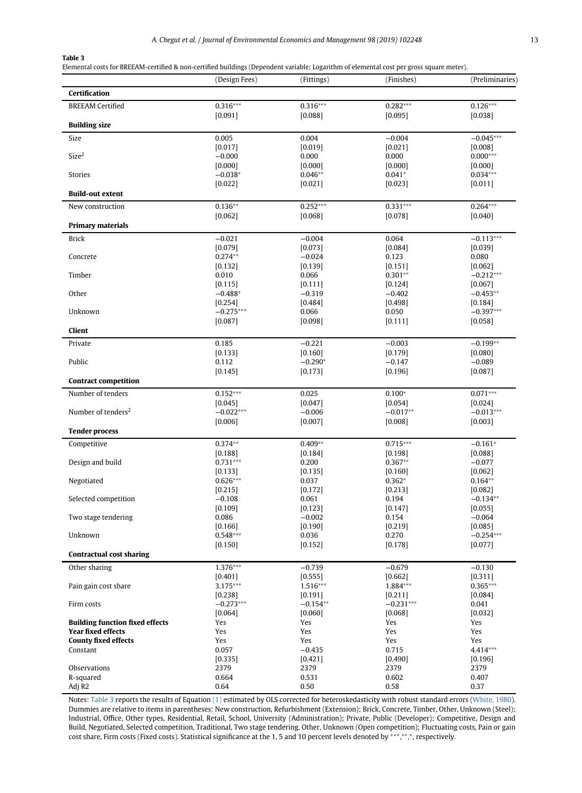Elemental costs for BREEAM-certified & non-certified buildings (Dependent variable: Logarithm of elemental cost per gross square meter).

<span id="page-12-0"></span>

|                                        | (Design Fees)          | (Fittings)           | (Finishes)             | (Preliminaries)        |
|----------------------------------------|------------------------|----------------------|------------------------|------------------------|
| Certification                          |                        |                      |                        |                        |
| <b>BREEAM Certified</b>                | $0.316***$             | $0.316***$           | $0.282***$             | $0.126***$             |
|                                        | [0.091]                | [0.088]              | [0.095]                | [0.038]                |
| <b>Building size</b>                   |                        |                      |                        |                        |
| Size                                   | 0.005                  | 0.004                | $-0.004$               | $-0.045***$            |
|                                        | [0.017]                | [0.019]              | [0.021]                | [0.008]                |
| Size <sup>2</sup>                      | $-0.000$               | 0.000                | 0.000                  | $0.000***$             |
|                                        | [0.000]                | [0.000]              | [0.000]                | [0.000]                |
| <b>Stories</b>                         | $-0.038*$<br>$[0.022]$ | $0.046**$<br>[0.021] | $0.041*$<br>[0.023]    | $0.034***$<br>[0.011]  |
| <b>Build-out extent</b>                |                        |                      |                        |                        |
| New construction                       | $0.136**$              | $0.252***$           | $0.331***$             | $0.264***$             |
|                                        | [0.062]                | [0.068]              | [0.078]                | [0.040]                |
| <b>Primary materials</b>               |                        |                      |                        |                        |
| <b>Brick</b>                           | $-0.021$               | $-0.004$             | 0.064                  | $-0.113***$            |
|                                        | [0.079]                | [0.073]              | [0.084]                | [0.039]                |
| Concrete                               | $0.274**$              | $-0.024$             | 0.123                  | 0.080                  |
|                                        | [0.132]                | [0.139]              | [0.151]                | $[0.062]$              |
| Timber                                 | 0.010                  | 0.066                | $0.301**$              | $-0.212***$            |
|                                        | [0.115]                | [0.111]              | [0.124]                | $[0.067]$              |
| Other                                  | $-0.488*$              | $-0.319$             | $-0.402$               | $-0.453**$             |
|                                        | [0.254]                | [0.484]              | [0.498]                | [0.184]                |
| Unknown                                | $-0.275***$            | 0.066                | 0.050                  | $-0.397***$            |
|                                        | [0.087]                | [0.098]              | [0.111]                | $[0.058]$              |
| Client                                 |                        |                      |                        |                        |
| Private                                | 0.185                  | $-0.221$             | $-0.003$               | $-0.199**$             |
|                                        | [0.133]                | [0.160]              | [0.179]                | [0.080]                |
| Public                                 | 0.112                  | $-0.290*$            | $-0.147$               | $-0.089$               |
| <b>Contract competition</b>            | [0.145]                | [0.173]              | [0.196]                | [0.087]                |
|                                        |                        |                      |                        |                        |
| Number of tenders                      | $0.152***$             | 0.025                | $0.100*$               | $0.071***$             |
| Number of tenders <sup>2</sup>         | [0.045]<br>$-0.022***$ | [0.047]<br>$-0.006$  | [0.054]<br>$-0.017**$  | [0.024]<br>$-0.013***$ |
|                                        | [0.006]                | [0.007]              | [0.008]                | [0.003]                |
| <b>Tender process</b>                  |                        |                      |                        |                        |
|                                        | $0.374**$              | $0.409**$            | $0.715***$             |                        |
| Competitive                            | [0.188]                | [0.184]              | [0.198]                | $-0.161*$<br>[0.088]   |
| Design and build                       | $0.731***$             | 0.200                | $0.367**$              | $-0.077$               |
|                                        | [0.133]                | [0.135]              | [0.160]                | $[0.062]$              |
| Negotiated                             | $0.626***$             | 0.037                | $0.362*$               | $0.164**$              |
|                                        | [0.215]                | [0.172]              | [0.213]                | $[0.082]$              |
| Selected competition                   | $-0.108$               | 0.061                | 0.194                  | $-0.134**$             |
|                                        | [0.109]                | [0.123]              | [0.147]                | $[0.055]$              |
| Two stage tendering                    | 0.086                  | $-0.002$             | 0.154                  | $-0.064$               |
|                                        | [0.166]                | [0.190]              | [0.219]                | [0.085]                |
| Unknown                                | $0.548***$             | 0.036                | 0.270                  | $-0.254***$            |
| <b>Contractual cost sharing</b>        | [0.150]                | [0.152]              | [0.178]                | [0.077]                |
|                                        |                        |                      |                        |                        |
| Other sharing                          | $1.376***$             | $-0.739$             | $-0.679$               | $-0.130$               |
|                                        | [0.401]<br>3.175***    | [0.555]              | [0.662]                | [0.311]<br>0.365***    |
| Pain gain cost share                   | [0.238]                | 1.516***<br>[0.191]  | 1.884***               |                        |
| Firm costs                             | $-0.273***$            | $-0.154**$           | [0.211]<br>$-0.231***$ | [0.084]<br>0.041       |
|                                        | [0.064]                | [0.060]              | [0.068]                | $[0.032]$              |
| <b>Building function fixed effects</b> | Yes                    | Yes                  | Yes                    | Yes                    |
| Year fixed effects                     | Yes                    | Yes                  | Yes                    | Yes                    |
| <b>County fixed effects</b>            | Yes                    | Yes                  | Yes                    | Yes                    |
| Constant                               | 0.057                  | $-0.435$             | 0.715                  | 4.414***               |
|                                        | [0.335]                | [0.421]              | [0.490]                | [0.196]                |
| Observations                           | 2379                   | 2379                 | 2379                   | 2379                   |
| R-squared                              | 0.664                  | 0.531                | 0.602                  | 0.407                  |
| Adj R2                                 | 0.64                   | 0.50                 | 0.58                   | 0.37                   |

Notes: [Table 3](#page-12-0) reports the results of Equation [\(1\)](#page-8-1) estimated by OLS corrected for heteroskedasticity with robust standard errors [\(White, 1980\)](#page-17-30). Dummies are relative to items in parentheses: New construction, Refurbishment (Extension); Brick, Concrete, Timber, Other, Unknown (Steel); Industrial, Office, Other types, Residential, Retail, School, University (Administration); Private, Public (Developer); Competitive, Design and Build, Negotiated, Selected competition, Traditional, Two stage tendering, Other, Unknown (Open competition); Fluctuating costs, Pain or gain cost share, Firm costs (Fixed costs). Statistical significance at the 1, 5 and 10 percent levels denoted by \*\*\*,\*\*,\*,\* respectively.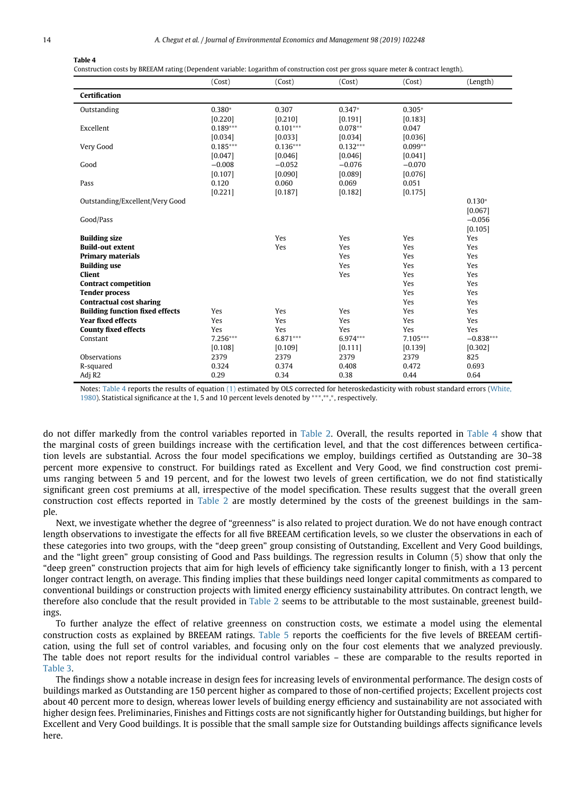#### **Table 4**

Construction costs by BREEAM rating (Dependent variable: Logarithm of construction cost per gross square meter & contract length).

<span id="page-13-0"></span>

|                                        | (Cost)     | (Cost)     | (Cost)     | (Cost)     | (Length)    |
|----------------------------------------|------------|------------|------------|------------|-------------|
| Certification                          |            |            |            |            |             |
| Outstanding                            | $0.380*$   | 0.307      | $0.347*$   | $0.305*$   |             |
|                                        | [0.220]    | [0.210]    | [0.191]    | [0.183]    |             |
| Excellent                              | $0.189***$ | $0.101***$ | $0.078**$  | 0.047      |             |
|                                        | [0.034]    | [0.033]    | [0.034]    | [0.036]    |             |
| Very Good                              | $0.185***$ | $0.136***$ | $0.132***$ | $0.099**$  |             |
|                                        | [0.047]    | [0.046]    | [0.046]    | [0.041]    |             |
| Good                                   | $-0.008$   | $-0.052$   | $-0.076$   | $-0.070$   |             |
|                                        | [0.107]    | [0.090]    | [0.089]    | [0.076]    |             |
| Pass                                   | 0.120      | 0.060      | 0.069      | 0.051      |             |
|                                        | [0.221]    | [0.187]    | [0.182]    | [0.175]    |             |
| Outstanding/Excellent/Very Good        |            |            |            |            | $0.130*$    |
|                                        |            |            |            |            | [0.067]     |
| Good/Pass                              |            |            |            |            | $-0.056$    |
|                                        |            |            |            |            | [0.105]     |
| <b>Building size</b>                   |            | Yes        | Yes        | Yes        | Yes         |
| <b>Build-out extent</b>                |            | Yes        | Yes        | Yes        | Yes         |
| <b>Primary materials</b>               |            |            | Yes        | Yes        | Yes         |
| <b>Building use</b>                    |            |            | Yes        | Yes        | Yes         |
| <b>Client</b>                          |            |            | Yes        | Yes        | Yes         |
| <b>Contract competition</b>            |            |            |            | Yes        | Yes         |
| <b>Tender process</b>                  |            |            |            | Yes        | Yes         |
| <b>Contractual cost sharing</b>        |            |            |            | Yes        | Yes         |
| <b>Building function fixed effects</b> | Yes        | Yes        | Yes        | Yes        | Yes         |
| <b>Year fixed effects</b>              | Yes        | Yes        | Yes        | Yes        | Yes         |
| <b>County fixed effects</b>            | Yes        | Yes        | Yes        | Yes        | Yes         |
| Constant                               | 7.256***   | 6.871***   | 6.974***   | $7.105***$ | $-0.838***$ |
|                                        | [0.108]    | [0.109]    | [0.111]    | [0.139]    | [0.302]     |
| Observations                           | 2379       | 2379       | 2379       | 2379       | 825         |
| R-squared                              | 0.324      | 0.374      | 0.408      | 0.472      | 0.693       |
| Adj R <sub>2</sub>                     | 0.29       | 0.34       | 0.38       | 0.44       | 0.64        |

Notes: [Table 4](#page-13-0) reports the results of equation [\(1\)](#page-8-1) [estimated by OLS corrected for heteroskedasticity with robust standard errors \(White,](#page-17-30) 1980). Statistical significance at the 1, 5 and 10 percent levels denoted by \*\*\*,\*\*,\*,\*, respectively.

do not differ markedly from the control variables reported in [Table 2.](#page-10-0) Overall, the results reported in [Table 4](#page-13-0) show that the marginal costs of green buildings increase with the certification level, and that the cost differences between certification levels are substantial. Across the four model specifications we employ, buildings certified as Outstanding are 30–38 percent more expensive to construct. For buildings rated as Excellent and Very Good, we find construction cost premiums ranging between 5 and 19 percent, and for the lowest two levels of green certification, we do not find statistically significant green cost premiums at all, irrespective of the model specification. These results suggest that the overall green construction cost effects reported in [Table 2](#page-10-0) are mostly determined by the costs of the greenest buildings in the sample.

Next, we investigate whether the degree of "greenness" is also related to project duration. We do not have enough contract length observations to investigate the effects for all five BREEAM certification levels, so we cluster the observations in each of these categories into two groups, with the "deep green" group consisting of Outstanding, Excellent and Very Good buildings, and the "light green" group consisting of Good and Pass buildings. The regression results in Column (5) show that only the "deep green" construction projects that aim for high levels of efficiency take significantly longer to finish, with a 13 percent longer contract length, on average. This finding implies that these buildings need longer capital commitments as compared to conventional buildings or construction projects with limited energy efficiency sustainability attributes. On contract length, we therefore also conclude that the result provided in [Table 2](#page-10-0) seems to be attributable to the most sustainable, greenest buildings.

To further analyze the effect of relative greenness on construction costs, we estimate a model using the elemental construction costs as explained by BREEAM ratings. [Table 5](#page-14-0) reports the coefficients for the five levels of BREEAM certification, using the full set of control variables, and focusing only on the four cost elements that we analyzed previously. The table does not report results for the individual control variables – these are comparable to the results reported in [Table 3.](#page-12-0)

The findings show a notable increase in design fees for increasing levels of environmental performance. The design costs of buildings marked as Outstanding are 150 percent higher as compared to those of non-certified projects; Excellent projects cost about 40 percent more to design, whereas lower levels of building energy efficiency and sustainability are not associated with higher design fees. Preliminaries, Finishes and Fittings costs are not significantly higher for Outstanding buildings, but higher for Excellent and Very Good buildings. It is possible that the small sample size for Outstanding buildings affects significance levels here.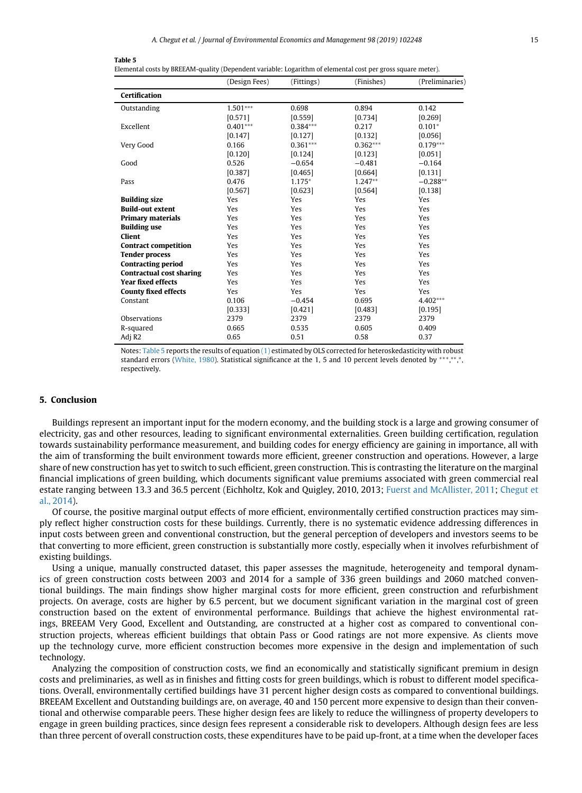#### **Table 5**

Elemental costs by BREEAM-quality (Dependent variable: Logarithm of elemental cost per gross square meter).

<span id="page-14-0"></span>

|                                 | (Design Fees) | (Fittings) | (Finishes) | (Preliminaries) |
|---------------------------------|---------------|------------|------------|-----------------|
| Certification                   |               |            |            |                 |
| Outstanding                     | $1.501***$    | 0.698      | 0.894      | 0.142           |
|                                 | [0.571]       | [0.559]    | [0.734]    | [0.269]         |
| Excellent                       | $0.401***$    | $0.384***$ | 0.217      | $0.101*$        |
|                                 | [0.147]       | [0.127]    | [0.132]    | [0.056]         |
| Very Good                       | 0.166         | $0.361***$ | $0.362***$ | $0.179***$      |
|                                 | [0.120]       | [0.124]    | [0.123]    | [0.051]         |
| Good                            | 0.526         | $-0.654$   | $-0.481$   | $-0.164$        |
|                                 | [0.387]       | [0.465]    | [0.664]    | [0.131]         |
| Pass                            | 0.476         | 1.175*     | $1.247**$  | $-0.288**$      |
|                                 | [0.567]       | [0.623]    | [0.564]    | [0.138]         |
| <b>Building size</b>            | Yes           | Yes        | Yes        | Yes             |
| <b>Build-out extent</b>         | Yes           | Yes        | Yes        | Yes             |
| <b>Primary materials</b>        | Yes           | Yes        | Yes        | Yes             |
| <b>Building use</b>             | Yes           | Yes        | Yes        | Yes             |
| Client                          | Yes           | Yes        | Yes        | Yes             |
| <b>Contract competition</b>     | Yes           | Yes        | Yes        | Yes             |
| <b>Tender process</b>           | Yes           | Yes        | Yes        | Yes             |
| <b>Contracting period</b>       | <b>Yes</b>    | Yes        | Yes        | Yes             |
| <b>Contractual cost sharing</b> | Yes           | Yes        | Yes        | Yes             |
| <b>Year fixed effects</b>       | Yes           | Yes        | Yes        | Yes             |
| <b>County fixed effects</b>     | Yes           | Yes        | Yes        | Yes             |
| Constant                        | 0.106         | $-0.454$   | 0.695      | $4.402***$      |
|                                 | [0.333]       | [0.421]    | [0.483]    | [0.195]         |
| Observations                    | 2379          | 2379       | 2379       | 2379            |
| R-squared                       | 0.665         | 0.535      | 0.605      | 0.409           |
| Adj R <sub>2</sub>              | 0.65          | 0.51       | 0.58       | 0.37            |

Notes: [Table 5](#page-14-0) reports the results of equation [\(1\)](#page-8-1) estimated by OLS corrected for heteroskedasticity with robust standard errors [\(White, 1980\)](#page-17-30). Statistical significance at the 1, 5 and 10 percent levels denoted by \*\*\*,\*\*,\*, respectively.

## **5. Conclusion**

Buildings represent an important input for the modern economy, and the building stock is a large and growing consumer of electricity, gas and other resources, leading to significant environmental externalities. Green building certification, regulation towards sustainability performance measurement, and building codes for energy efficiency are gaining in importance, all with the aim of transforming the built environment towards more efficient, greener construction and operations. However, a large share of new construction has yet to switch to such efficient, green construction. This is contrasting the literature on the marginal financial implications of green building, which documents significant value premiums associated with green commercial real [estate ranging between 13.3 and 36.5 percent \(Eichholtz, Kok and Quigley, 2010, 2013;](#page-16-1) [Fuerst and McAllister, 2011;](#page-17-8) Chegut et al., 2014).

Of course, the positive marginal output effects of more efficient, environmentally certified construction practices may simply reflect higher construction costs for these buildings. Currently, there is no systematic evidence addressing differences in input costs between green and conventional construction, but the general perception of developers and investors seems to be that converting to more efficient, green construction is substantially more costly, especially when it involves refurbishment of existing buildings.

Using a unique, manually constructed dataset, this paper assesses the magnitude, heterogeneity and temporal dynamics of green construction costs between 2003 and 2014 for a sample of 336 green buildings and 2060 matched conventional buildings. The main findings show higher marginal costs for more efficient, green construction and refurbishment projects. On average, costs are higher by 6.5 percent, but we document significant variation in the marginal cost of green construction based on the extent of environmental performance. Buildings that achieve the highest environmental ratings, BREEAM Very Good, Excellent and Outstanding, are constructed at a higher cost as compared to conventional construction projects, whereas efficient buildings that obtain Pass or Good ratings are not more expensive. As clients move up the technology curve, more efficient construction becomes more expensive in the design and implementation of such technology.

Analyzing the composition of construction costs, we find an economically and statistically significant premium in design costs and preliminaries, as well as in finishes and fitting costs for green buildings, which is robust to different model specifications. Overall, environmentally certified buildings have 31 percent higher design costs as compared to conventional buildings. BREEAM Excellent and Outstanding buildings are, on average, 40 and 150 percent more expensive to design than their conventional and otherwise comparable peers. These higher design fees are likely to reduce the willingness of property developers to engage in green building practices, since design fees represent a considerable risk to developers. Although design fees are less than three percent of overall construction costs, these expenditures have to be paid up-front, at a time when the developer faces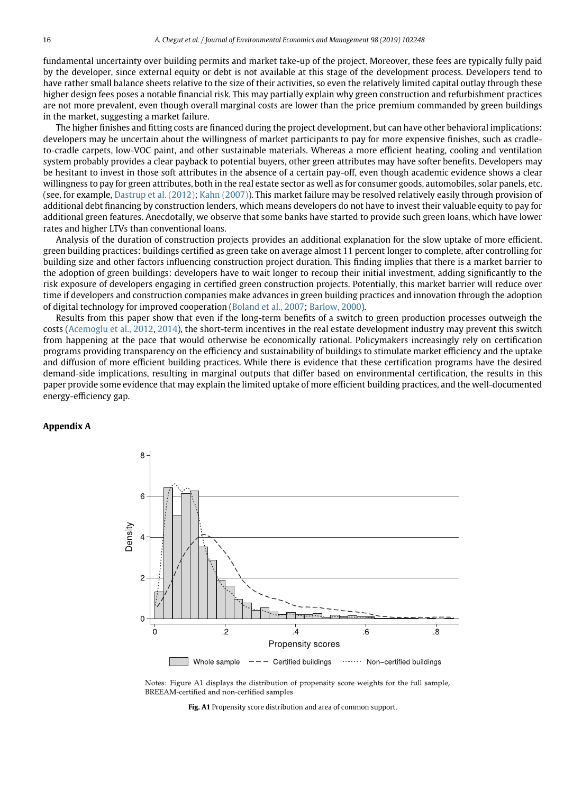fundamental uncertainty over building permits and market take-up of the project. Moreover, these fees are typically fully paid by the developer, since external equity or debt is not available at this stage of the development process. Developers tend to have rather small balance sheets relative to the size of their activities, so even the relatively limited capital outlay through these higher design fees poses a notable financial risk. This may partially explain why green construction and refurbishment practices are not more prevalent, even though overall marginal costs are lower than the price premium commanded by green buildings in the market, suggesting a market failure.

The higher finishes and fitting costs are financed during the project development, but can have other behavioral implications: developers may be uncertain about the willingness of market participants to pay for more expensive finishes, such as cradleto-cradle carpets, low-VOC paint, and other sustainable materials. Whereas a more efficient heating, cooling and ventilation system probably provides a clear payback to potential buyers, other green attributes may have softer benefits. Developers may be hesitant to invest in those soft attributes in the absence of a certain pay-off, even though academic evidence shows a clear willingness to pay for green attributes, both in the real estate sector as well as for consumer goods, automobiles, solar panels, etc. (see, for example, [Dastrup et al. \(2012\);](#page-17-32) [Kahn \(2007\)\)](#page-17-33). This market failure may be resolved relatively easily through provision of additional debt financing by construction lenders, which means developers do not have to invest their valuable equity to pay for additional green features. Anecdotally, we observe that some banks have started to provide such green loans, which have lower rates and higher LTVs than conventional loans.

Analysis of the duration of construction projects provides an additional explanation for the slow uptake of more efficient, green building practices: buildings certified as green take on average almost 11 percent longer to complete, after controlling for building size and other factors influencing construction project duration. This finding implies that there is a market barrier to the adoption of green buildings: developers have to wait longer to recoup their initial investment, adding significantly to the risk exposure of developers engaging in certified green construction projects. Potentially, this market barrier will reduce over time if developers and construction companies make advances in green building practices and innovation through the adoption of digital technology for improved cooperation [\(Boland et al., 2007;](#page-16-10) [Barlow, 2000\)](#page-16-11).

Results from this paper show that even if the long-term benefits of a switch to green production processes outweigh the costs [\(Acemoglu et al., 2012,](#page-16-0) [2014\)](#page-16-12), the short-term incentives in the real estate development industry may prevent this switch from happening at the pace that would otherwise be economically rational. Policymakers increasingly rely on certification programs providing transparency on the efficiency and sustainability of buildings to stimulate market efficiency and the uptake and diffusion of more efficient building practices. While there is evidence that these certification programs have the desired demand-side implications, resulting in marginal outputs that differ based on environmental certification, the results in this paper provide some evidence that may explain the limited uptake of more efficient building practices, and the well-documented energy-efficiency gap.

## <span id="page-15-0"></span>**Appendix A**



Notes: Figure A1 displays the distribution of propensity score weights for the full sample, BREEAM-certified and non-certified samples.

**Fig. A1** Propensity score distribution and area of common support.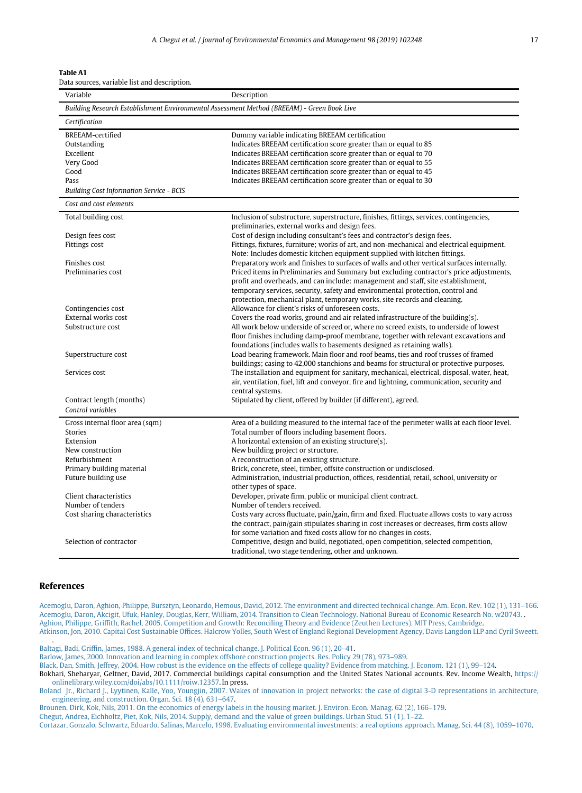<span id="page-16-6"></span>

| И<br>ı<br>D<br>v | c<br>and the state of the state of the state of the state of the state of the state of the state of the state of th |
|------------------|---------------------------------------------------------------------------------------------------------------------|
|------------------|---------------------------------------------------------------------------------------------------------------------|

| Data sources, variable list and description. |  |  |  |
|----------------------------------------------|--|--|--|
|----------------------------------------------|--|--|--|

| Variable                                        | Description                                                                                                                                                                           |
|-------------------------------------------------|---------------------------------------------------------------------------------------------------------------------------------------------------------------------------------------|
|                                                 | Building Research Establishment Environmental Assessment Method (BREEAM) - Green Book Live                                                                                            |
| Certification                                   |                                                                                                                                                                                       |
| BREEAM-certified                                | Dummy variable indicating BREEAM certification                                                                                                                                        |
| Outstanding                                     | Indicates BREEAM certification score greater than or equal to 85                                                                                                                      |
| Excellent                                       | Indicates BREEAM certification score greater than or equal to 70                                                                                                                      |
| Very Good                                       | Indicates BREEAM certification score greater than or equal to 55                                                                                                                      |
| Good                                            | Indicates BREEAM certification score greater than or equal to 45                                                                                                                      |
| Pass                                            | Indicates BREEAM certification score greater than or equal to 30                                                                                                                      |
| <b>Building Cost Information Service - BCIS</b> |                                                                                                                                                                                       |
| Cost and cost elements                          |                                                                                                                                                                                       |
| Total building cost                             | Inclusion of substructure, superstructure, finishes, fittings, services, contingencies,                                                                                               |
|                                                 | preliminaries, external works and design fees.                                                                                                                                        |
| Design fees cost                                | Cost of design including consultant's fees and contractor's design fees.                                                                                                              |
| Fittings cost                                   | Fittings, fixtures, furniture; works of art, and non-mechanical and electrical equipment.                                                                                             |
| Finishes cost                                   | Note: Includes domestic kitchen equipment supplied with kitchen fittings.                                                                                                             |
| Preliminaries cost                              | Preparatory work and finishes to surfaces of walls and other vertical surfaces internally.<br>Priced items in Preliminaries and Summary but excluding contractor's price adjustments, |
|                                                 | profit and overheads, and can include: management and staff, site establishment,                                                                                                      |
|                                                 | temporary services, security, safety and environmental protection, control and                                                                                                        |
|                                                 | protection, mechanical plant, temporary works, site records and cleaning.                                                                                                             |
| Contingencies cost                              | Allowance for client's risks of unforeseen costs.                                                                                                                                     |
| External works cost                             | Covers the road works, ground and air related infrastructure of the building(s).                                                                                                      |
| Substructure cost                               | All work below underside of screed or, where no screed exists, to underside of lowest                                                                                                 |
|                                                 | floor finishes including damp-proof membrane, together with relevant excavations and                                                                                                  |
|                                                 | foundations (includes walls to basements designed as retaining walls).                                                                                                                |
| Superstructure cost                             | Load bearing framework. Main floor and roof beams, ties and roof trusses of framed                                                                                                    |
|                                                 | buildings; casing to 42,000 stanchions and beams for structural or protective purposes.                                                                                               |
| Services cost                                   | The installation and equipment for sanitary, mechanical, electrical, disposal, water, heat,                                                                                           |
|                                                 | air, ventilation, fuel, lift and conveyor, fire and lightning, communication, security and                                                                                            |
|                                                 | central systems.                                                                                                                                                                      |
| Contract length (months)                        | Stipulated by client, offered by builder (if different), agreed.                                                                                                                      |
| Control variables                               |                                                                                                                                                                                       |
| Gross internal floor area (sqm)                 | Area of a building measured to the internal face of the perimeter walls at each floor level.                                                                                          |
| <b>Stories</b>                                  | Total number of floors including basement floors.                                                                                                                                     |
| Extension                                       | A horizontal extension of an existing structure(s).                                                                                                                                   |
| New construction                                | New building project or structure.                                                                                                                                                    |
| Refurbishment                                   | A reconstruction of an existing structure.                                                                                                                                            |
| Primary building material                       | Brick, concrete, steel, timber, offsite construction or undisclosed.                                                                                                                  |
| Future building use                             | Administration, industrial production, offices, residential, retail, school, university or                                                                                            |
|                                                 | other types of space.                                                                                                                                                                 |
| Client characteristics                          | Developer, private firm, public or municipal client contract.                                                                                                                         |
| Number of tenders                               | Number of tenders received.                                                                                                                                                           |
| Cost sharing characteristics                    | Costs vary across fluctuate, pain/gain, firm and fixed. Fluctuate allows costs to vary across                                                                                         |
|                                                 | the contract, pain/gain stipulates sharing in cost increases or decreases, firm costs allow<br>for some variation and fixed costs allow for no changes in costs.                      |
| Selection of contractor                         | Competitive, design and build, negotiated, open competition, selected competition,                                                                                                    |
|                                                 | traditional, two stage tendering, other and unknown.                                                                                                                                  |
|                                                 |                                                                                                                                                                                       |

#### **References**

<span id="page-16-12"></span><span id="page-16-11"></span><span id="page-16-10"></span><span id="page-16-9"></span><span id="page-16-8"></span><span id="page-16-7"></span><span id="page-16-5"></span><span id="page-16-4"></span><span id="page-16-3"></span><span id="page-16-2"></span><span id="page-16-1"></span>.

<span id="page-16-0"></span>[Acemoglu, Daron, Aghion, Philippe, Bursztyn, Leonardo, Hemous, David, 2012. The environment and directed technical change. Am. Econ. Rev. 102 \(1\),](http://refhub.elsevier.com/S0095-0696(18)30402-9/sref1) 131–166. [Acemoglu, Daron, Akcigit, Ufuk, Hanley, Douglas, Kerr, William, 2014. Transition to Clean Technology. National Bureau of Economic Research No. w20743.](http://refhub.elsevier.com/S0095-0696(18)30402-9/sref2) . [Aghion, Philippe, Griffith, Rachel, 2005. Competition and Growth: Reconciling Theory and Evidence \(Zeuthen Lectures\). MIT Press, Cambridge.](http://refhub.elsevier.com/S0095-0696(18)30402-9/sref3) [Atkinson, Jon, 2010. Capital Cost Sustainable Offices. Halcrow Yolles, South West of England Regional Development Agency, Davis Langdon LLP and Cyril](http://refhub.elsevier.com/S0095-0696(18)30402-9/sref4) Sweett.

[Baltagi, Badi, Griffin, James, 1988. A general index of technical change. J. Political Econ. 96 \(1\), 20–41.](http://refhub.elsevier.com/S0095-0696(18)30402-9/sref5)

[Barlow, James, 2000. Innovation and learning in complex offshore construction projects. Res. Policy 29 \(78\), 973–989.](http://refhub.elsevier.com/S0095-0696(18)30402-9/sref6)

[Black, Dan, Smith, Jeffrey, 2004. How robust is the evidence on the effects of college quality? Evidence from matching. J. Econom. 121 \(1\), 99–124.](http://refhub.elsevier.com/S0095-0696(18)30402-9/sref7)

Bokhari, Sheharyar, Geltner, David, 2017. Commercial buildings capital consumption and the United States National accounts. Rev. Income Wealth, [https://](https://onlinelibrary.wiley.com/doi/abs/10.1111/roiw.12357) [onlinelibrary.wiley.com/doi/abs/10.1111/roiw.12357.](https://onlinelibrary.wiley.com/doi/abs/10.1111/roiw.12357) In press.

[Boland Jr., Richard J., Lyytinen, Kalle, Yoo, Youngjin, 2007. Wakes of innovation in project networks: the case of digital 3-D representations in architecture,](http://refhub.elsevier.com/S0095-0696(18)30402-9/sref9) engineering, and construction. Organ. Sci. 18 (4), 631–647.

[Brounen, Dirk, Kok, Nils, 2011. On the economics of energy labels in the housing market. J. Environ. Econ. Manag. 62 \(2\), 166–179.](http://refhub.elsevier.com/S0095-0696(18)30402-9/sref10) [Chegut, Andrea, Eichholtz, Piet, Kok, Nils, 2014. Supply, demand and the value of green buildings. Urban Stud. 51 \(1\), 1–22.](http://refhub.elsevier.com/S0095-0696(18)30402-9/sref11) [Cortazar, Gonzalo, Schwartz, Eduardo, Salinas, Marcelo, 1998. Evaluating environmental investments: a real options approach. Manag. Sci. 44 \(8\),](http://refhub.elsevier.com/S0095-0696(18)30402-9/sref12) 1059–1070.